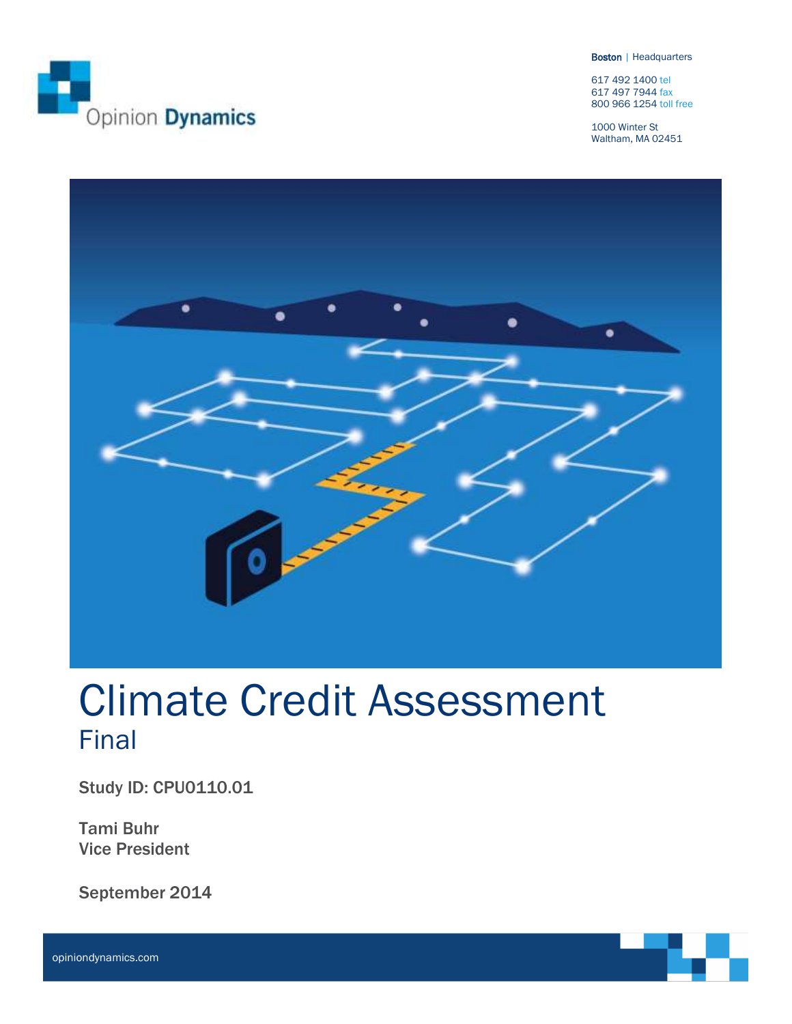

Boston | Headquarters

617 492 1400 tel 617 497 7944 fax 800 966 1254 toll free

1000 Winter St Waltham, MA 02451



# Climate Credit Assessment Final

Study ID: CPU0110.01

Tami Buhr Vice President

September 2014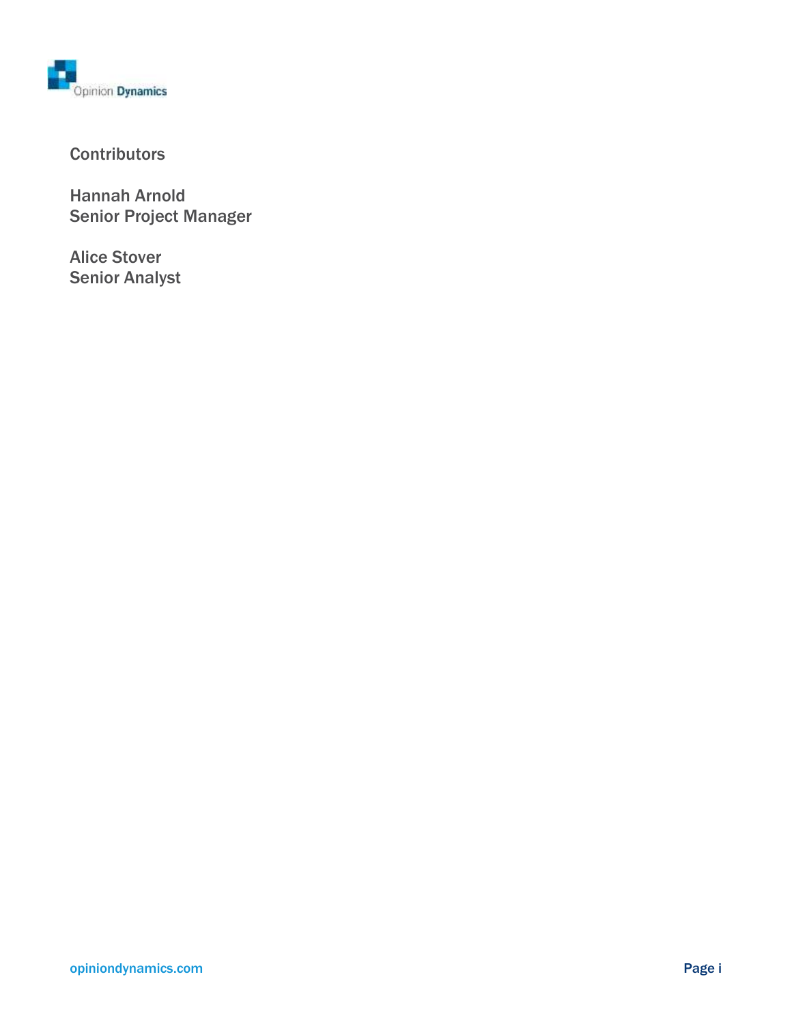

### **Contributors**

Hannah Arnold Senior Project Manager

Alice Stover Senior Analyst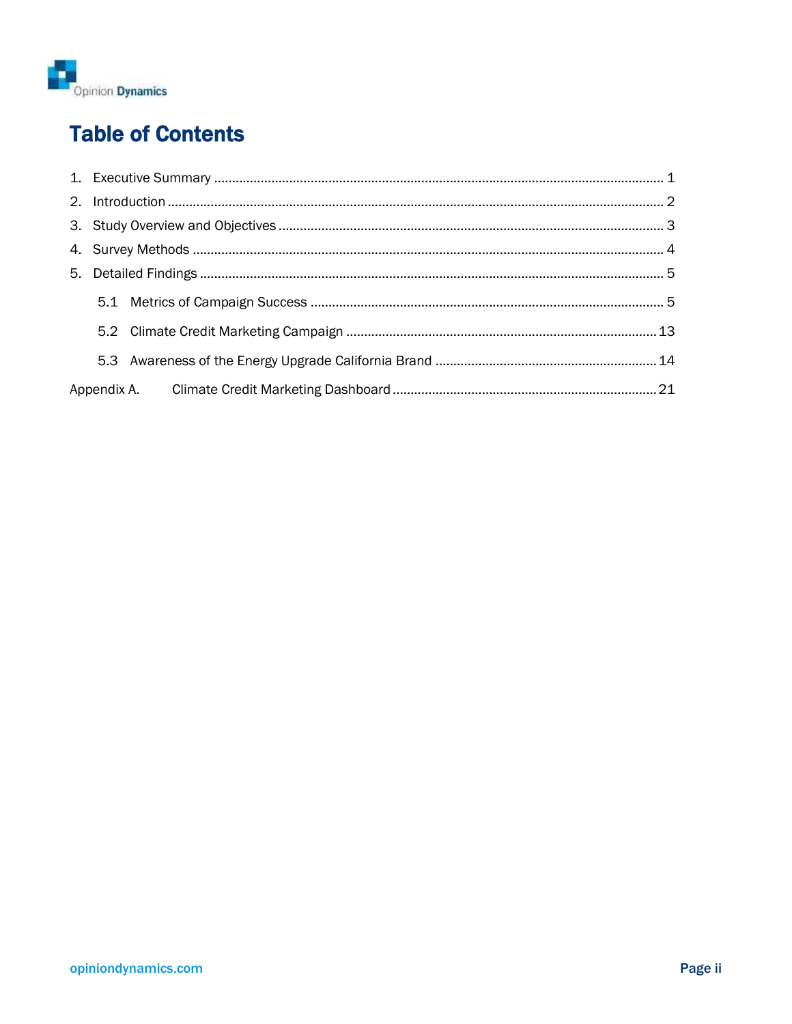

## **Table of Contents**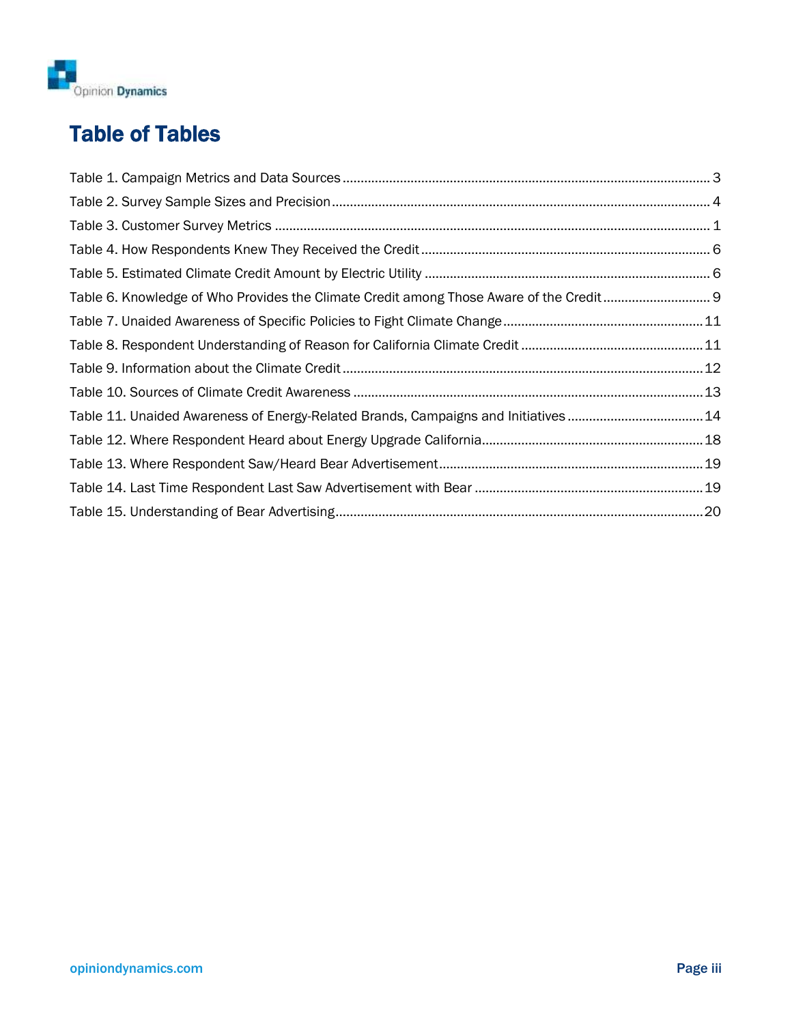

## Table of Tables

| Table 6. Knowledge of Who Provides the Climate Credit among Those Aware of the Credit 9 |  |
|-----------------------------------------------------------------------------------------|--|
|                                                                                         |  |
|                                                                                         |  |
|                                                                                         |  |
|                                                                                         |  |
| Table 11. Unaided Awareness of Energy-Related Brands, Campaigns and Initiatives14       |  |
|                                                                                         |  |
|                                                                                         |  |
|                                                                                         |  |
|                                                                                         |  |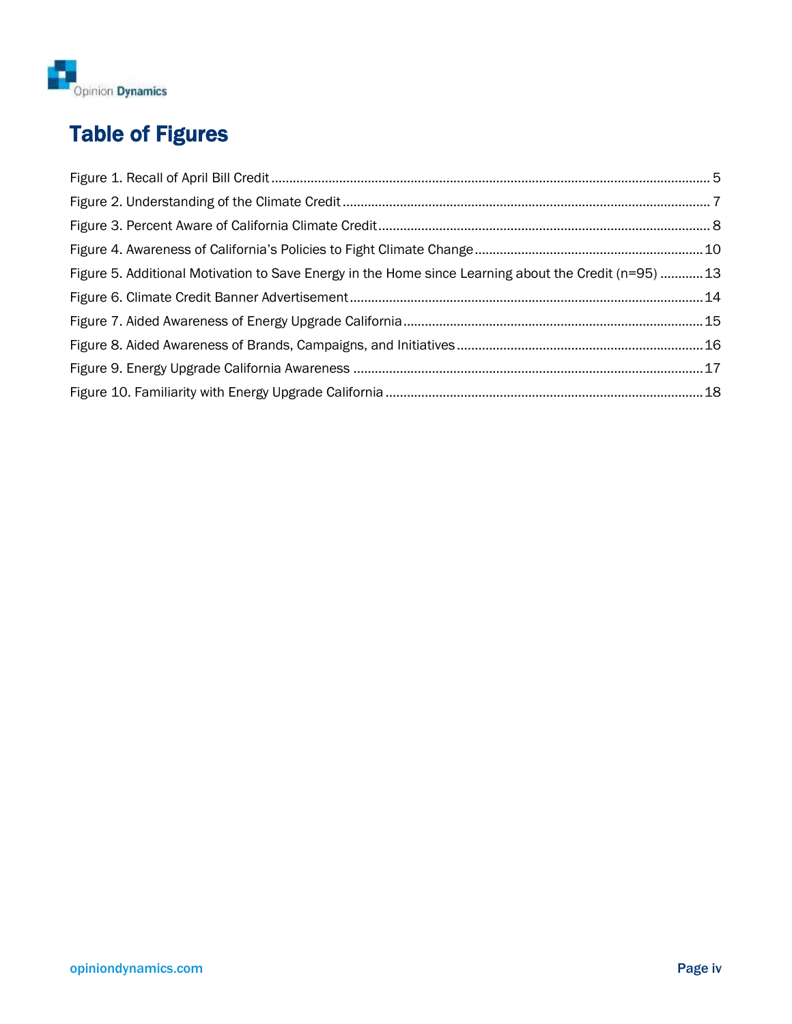

## Table of Figures

| Figure 5. Additional Motivation to Save Energy in the Home since Learning about the Credit (n=95) 13 |  |
|------------------------------------------------------------------------------------------------------|--|
|                                                                                                      |  |
|                                                                                                      |  |
|                                                                                                      |  |
|                                                                                                      |  |
|                                                                                                      |  |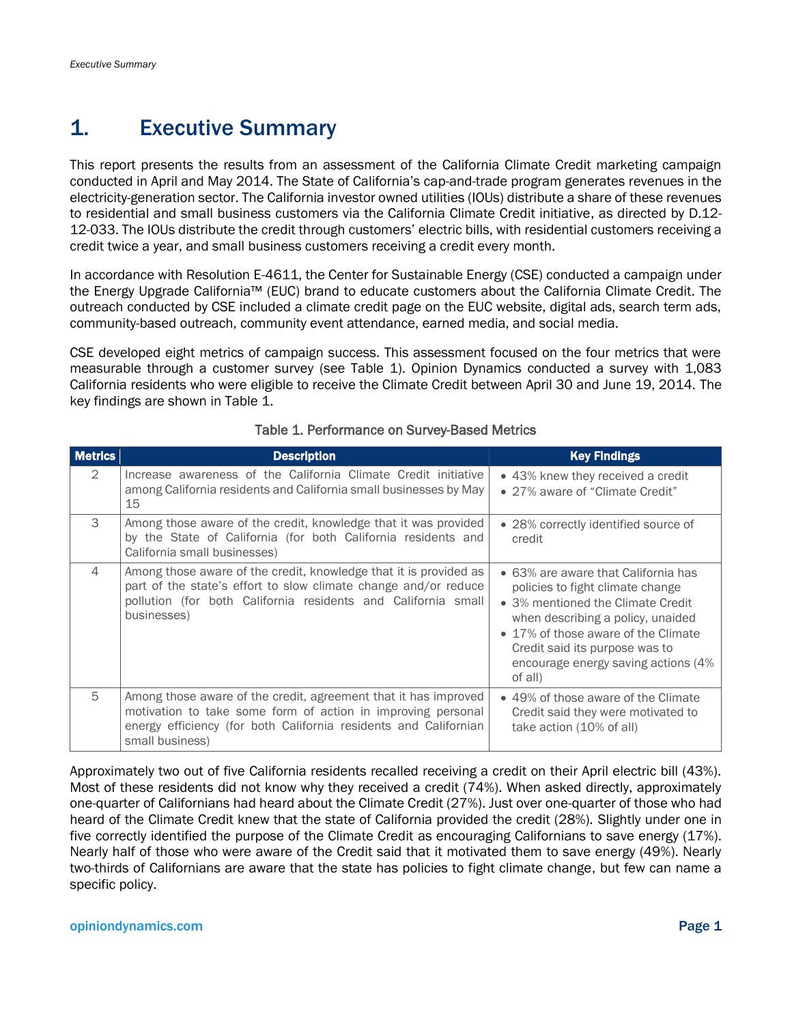## <span id="page-5-0"></span>1. Executive Summary

This report presents the results from an assessment of the California Climate Credit marketing campaign conducted in April and May 2014. The State of California's cap-and-trade program generates revenues in the electricity-generation sector. The California investor owned utilities (IOUs) distribute a share of these revenues to residential and small business customers via the California Climate Credit initiative, as directed by D.12- 12-033. The IOUs distribute the credit through customers' electric bills, with residential customers receiving a credit twice a year, and small business customers receiving a credit every month.

In accordance with Resolution E-4611, the Center for Sustainable Energy (CSE) conducted a campaign under the Energy Upgrade California™ (EUC) brand to educate customers about the California Climate Credit. The outreach conducted by CSE included a climate credit page on the EUC website, digital ads, search term ads, community-based outreach, community event attendance, earned media, and social media.

CSE developed eight metrics of campaign success. This assessment focused on the four metrics that were measurable through a customer survey (see [Table 1\)](#page-5-1). Opinion Dynamics conducted a survey with 1,083 California residents who were eligible to receive the Climate Credit between April 30 and June 19, 2014. The key findings are shown in [Table 1.](#page-5-1)

<span id="page-5-1"></span>

| <b>Metrics</b> | <b>Description</b>                                                                                                                                                                                                     | <b>Key Findings</b>                                                                                                                                                                                                                                                          |
|----------------|------------------------------------------------------------------------------------------------------------------------------------------------------------------------------------------------------------------------|------------------------------------------------------------------------------------------------------------------------------------------------------------------------------------------------------------------------------------------------------------------------------|
| $\mathcal{D}$  | Increase awareness of the California Climate Credit initiative<br>among California residents and California small businesses by May<br>15                                                                              | • 43% knew they received a credit<br>• 27% aware of "Climate Credit"                                                                                                                                                                                                         |
| 3              | Among those aware of the credit, knowledge that it was provided<br>by the State of California (for both California residents and<br>California small businesses)                                                       | • 28% correctly identified source of<br>credit                                                                                                                                                                                                                               |
| 4              | Among those aware of the credit, knowledge that it is provided as<br>part of the state's effort to slow climate change and/or reduce<br>pollution (for both California residents and California small<br>businesses)   | • 63% are aware that California has<br>policies to fight climate change<br>• 3% mentioned the Climate Credit<br>when describing a policy, unaided<br>• 17% of those aware of the Climate<br>Credit said its purpose was to<br>encourage energy saving actions (4%<br>of all) |
| 5              | Among those aware of the credit, agreement that it has improved<br>motivation to take some form of action in improving personal<br>energy efficiency (for both California residents and Californian<br>small business) | • 49% of those aware of the Climate<br>Credit said they were motivated to<br>take action (10% of all)                                                                                                                                                                        |

#### Table 1. Performance on Survey-Based Metrics

Approximately two out of five California residents recalled receiving a credit on their April electric bill (43%). Most of these residents did not know why they received a credit (74%). When asked directly, approximately one-quarter of Californians had heard about the Climate Credit (27%). Just over one-quarter of those who had heard of the Climate Credit knew that the state of California provided the credit (28%). Slightly under one in five correctly identified the purpose of the Climate Credit as encouraging Californians to save energy (17%). Nearly half of those who were aware of the Credit said that it motivated them to save energy (49%). Nearly two-thirds of Californians are aware that the state has policies to fight climate change, but few can name a specific policy.

#### opiniondynamics.com **Page 1**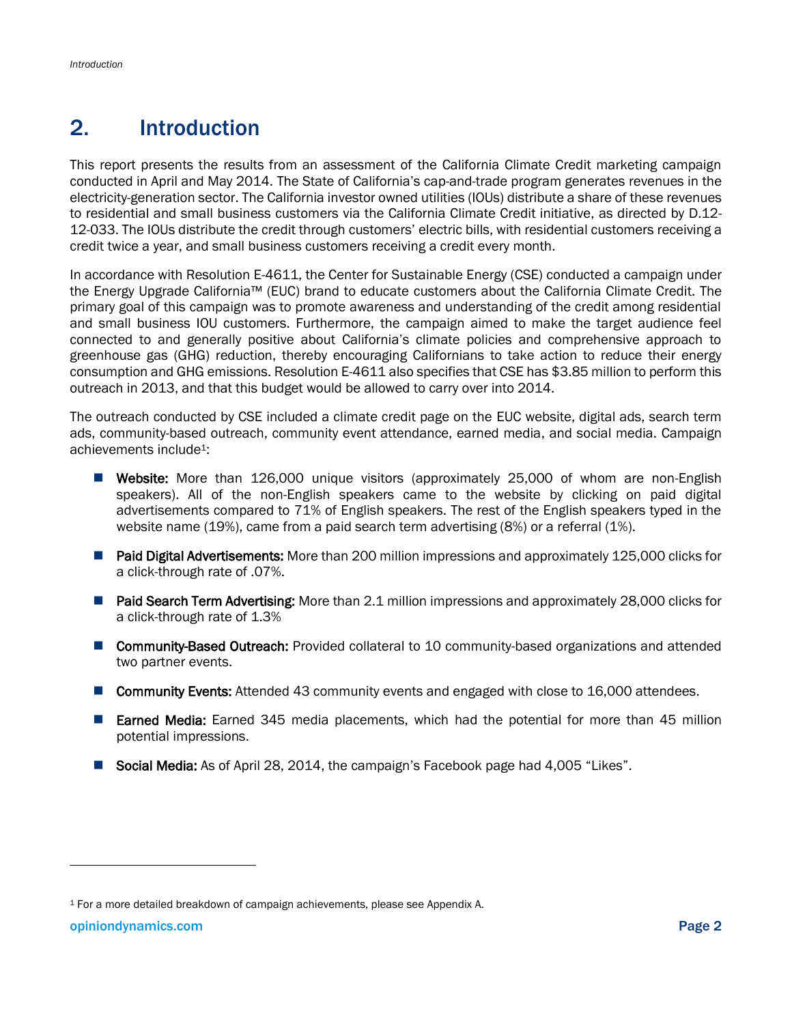## <span id="page-6-0"></span>2. Introduction

This report presents the results from an assessment of the California Climate Credit marketing campaign conducted in April and May 2014. The State of California's cap-and-trade program generates revenues in the electricity-generation sector. The California investor owned utilities (IOUs) distribute a share of these revenues to residential and small business customers via the California Climate Credit initiative, as directed by D.12- 12-033. The IOUs distribute the credit through customers' electric bills, with residential customers receiving a credit twice a year, and small business customers receiving a credit every month.

In accordance with Resolution E-4611, the Center for Sustainable Energy (CSE) conducted a campaign under the Energy Upgrade California™ (EUC) brand to educate customers about the California Climate Credit. The primary goal of this campaign was to promote awareness and understanding of the credit among residential and small business IOU customers. Furthermore, the campaign aimed to make the target audience feel connected to and generally positive about California's climate policies and comprehensive approach to greenhouse gas (GHG) reduction, thereby encouraging Californians to take action to reduce their energy consumption and GHG emissions. Resolution E-4611 also specifies that CSE has \$3.85 million to perform this outreach in 2013, and that this budget would be allowed to carry over into 2014.

The outreach conducted by CSE included a climate credit page on the EUC website, digital ads, search term ads, community-based outreach, community event attendance, earned media, and social media. Campaign achievements include1:

- **E** Website: More than 126,000 unique visitors (approximately 25,000 of whom are non-English speakers). All of the non-English speakers came to the website by clicking on paid digital advertisements compared to 71% of English speakers. The rest of the English speakers typed in the website name (19%), came from a paid search term advertising (8%) or a referral (1%).
- **Paid Digital Advertisements:** More than 200 million impressions and approximately 125,000 clicks for a click-through rate of .07%.
- **Paid Search Term Advertising:** More than 2.1 million impressions and approximately 28,000 clicks for a click-through rate of 1.3%
- **Community-Based Outreach:** Provided collateral to 10 community-based organizations and attended two partner events.
- **Community Events:** Attended 43 community events and engaged with close to 16,000 attendees.
- **Earned Media:** Earned 345 media placements, which had the potential for more than 45 million potential impressions.
- Social Media: As of April 28, 2014, the campaign's Facebook page had 4,005 "Likes".

 $\overline{\phantom{a}}$ 

<sup>1</sup> For a more detailed breakdown of campaign achievements, please see Appendix A.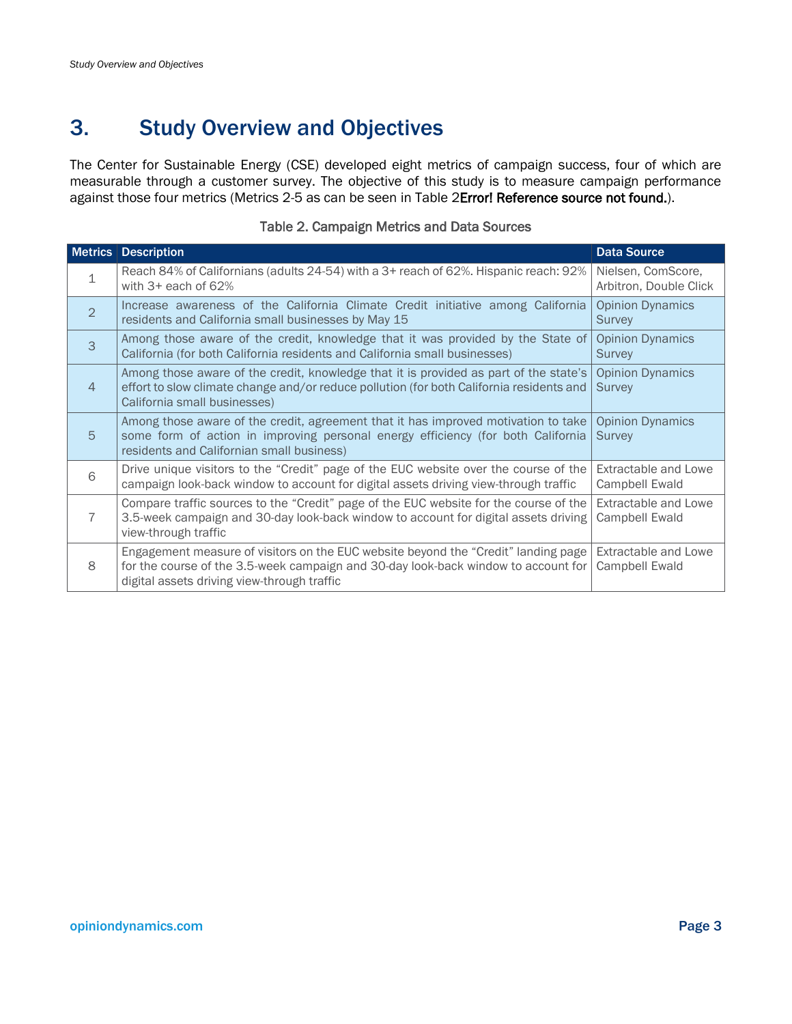## <span id="page-7-0"></span>3. Study Overview and Objectives

The Center for Sustainable Energy (CSE) developed eight metrics of campaign success, four of which are measurable through a customer survey. The objective of this study is to measure campaign performance against those four metrics (Metrics 2-5 as can be seen in [Table 2Error! Reference source not found.\)](#page-7-1).

<span id="page-7-1"></span>

|                | <b>Metrics Description</b>                                                                                                                                                                                              | <b>Data Source</b>                            |
|----------------|-------------------------------------------------------------------------------------------------------------------------------------------------------------------------------------------------------------------------|-----------------------------------------------|
| $\mathbf{1}$   | Reach 84% of Californians (adults 24-54) with a 3+ reach of 62%. Hispanic reach: 92%<br>with $3+$ each of 62%                                                                                                           | Nielsen, ComScore,<br>Arbitron, Double Click  |
| $\overline{2}$ | Increase awareness of the California Climate Credit initiative among California<br>residents and California small businesses by May 15                                                                                  | <b>Opinion Dynamics</b><br><b>Survey</b>      |
| 3              | Among those aware of the credit, knowledge that it was provided by the State of<br>California (for both California residents and California small businesses)                                                           | <b>Opinion Dynamics</b><br>Survey             |
| $\overline{4}$ | Among those aware of the credit, knowledge that it is provided as part of the state's<br>effort to slow climate change and/or reduce pollution (for both California residents and<br>California small businesses)       | <b>Opinion Dynamics</b><br>Survey             |
| 5              | Among those aware of the credit, agreement that it has improved motivation to take<br>some form of action in improving personal energy efficiency (for both California<br>residents and Californian small business)     | <b>Opinion Dynamics</b><br>Survey             |
| 6              | Drive unique visitors to the "Credit" page of the EUC website over the course of the<br>campaign look-back window to account for digital assets driving view-through traffic                                            | <b>Extractable and Lowe</b><br>Campbell Ewald |
|                | Compare traffic sources to the "Credit" page of the EUC website for the course of the<br>3.5-week campaign and 30-day look-back window to account for digital assets driving<br>view-through traffic                    | Extractable and Lowe<br>Campbell Ewald        |
| 8              | Engagement measure of visitors on the EUC website beyond the "Credit" landing page<br>for the course of the 3.5-week campaign and 30-day look-back window to account for<br>digital assets driving view-through traffic | Extractable and Lowe<br>Campbell Ewald        |

#### Table 2. Campaign Metrics and Data Sources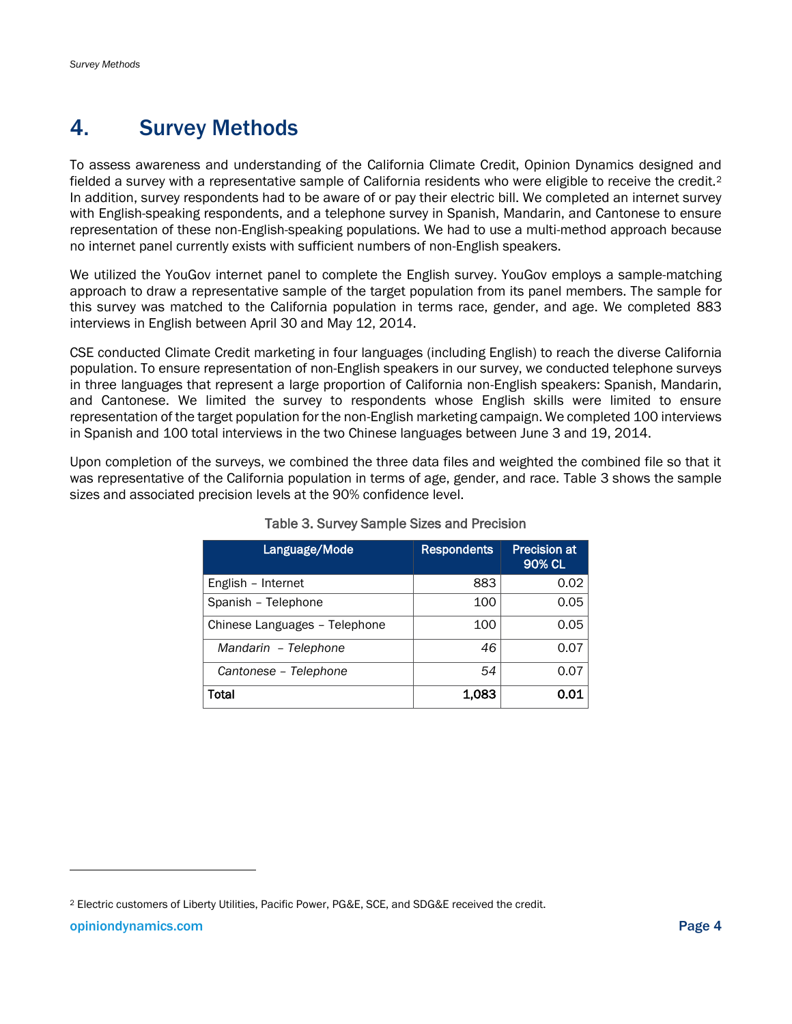## <span id="page-8-0"></span>4. Survey Methods

To assess awareness and understanding of the California Climate Credit, Opinion Dynamics designed and fielded a survey with a representative sample of California residents who were eligible to receive the credit.<sup>2</sup> In addition, survey respondents had to be aware of or pay their electric bill. We completed an internet survey with English-speaking respondents, and a telephone survey in Spanish, Mandarin, and Cantonese to ensure representation of these non-English-speaking populations. We had to use a multi-method approach because no internet panel currently exists with sufficient numbers of non-English speakers.

We utilized the YouGov internet panel to complete the English survey. YouGov employs a sample-matching approach to draw a representative sample of the target population from its panel members. The sample for this survey was matched to the California population in terms race, gender, and age. We completed 883 interviews in English between April 30 and May 12, 2014.

CSE conducted Climate Credit marketing in four languages (including English) to reach the diverse California population. To ensure representation of non-English speakers in our survey, we conducted telephone surveys in three languages that represent a large proportion of California non-English speakers: Spanish, Mandarin, and Cantonese. We limited the survey to respondents whose English skills were limited to ensure representation of the target population for the non-English marketing campaign. We completed 100 interviews in Spanish and 100 total interviews in the two Chinese languages between June 3 and 19, 2014.

<span id="page-8-1"></span>Upon completion of the surveys, we combined the three data files and weighted the combined file so that it was representative of the California population in terms of age, gender, and race. [Table 3](#page-8-1) shows the sample sizes and associated precision levels at the 90% confidence level.

| Language/Mode                 | <b>Respondents</b> | <b>Precision at</b><br>90% CL |
|-------------------------------|--------------------|-------------------------------|
| English - Internet            | 883                | 0.02                          |
| Spanish - Telephone           | 100                | 0.05                          |
| Chinese Languages - Telephone | 100                | 0.05                          |
| Mandarin - Telephone          | 46                 | 0.07                          |
| Cantonese - Telephone         | 54                 | 0.07                          |
| Total                         | 1.083              | 0.01                          |

#### Table 3. Survey Sample Sizes and Precision

<sup>2</sup> Electric customers of Liberty Utilities, Pacific Power, PG&E, SCE, and SDG&E received the credit.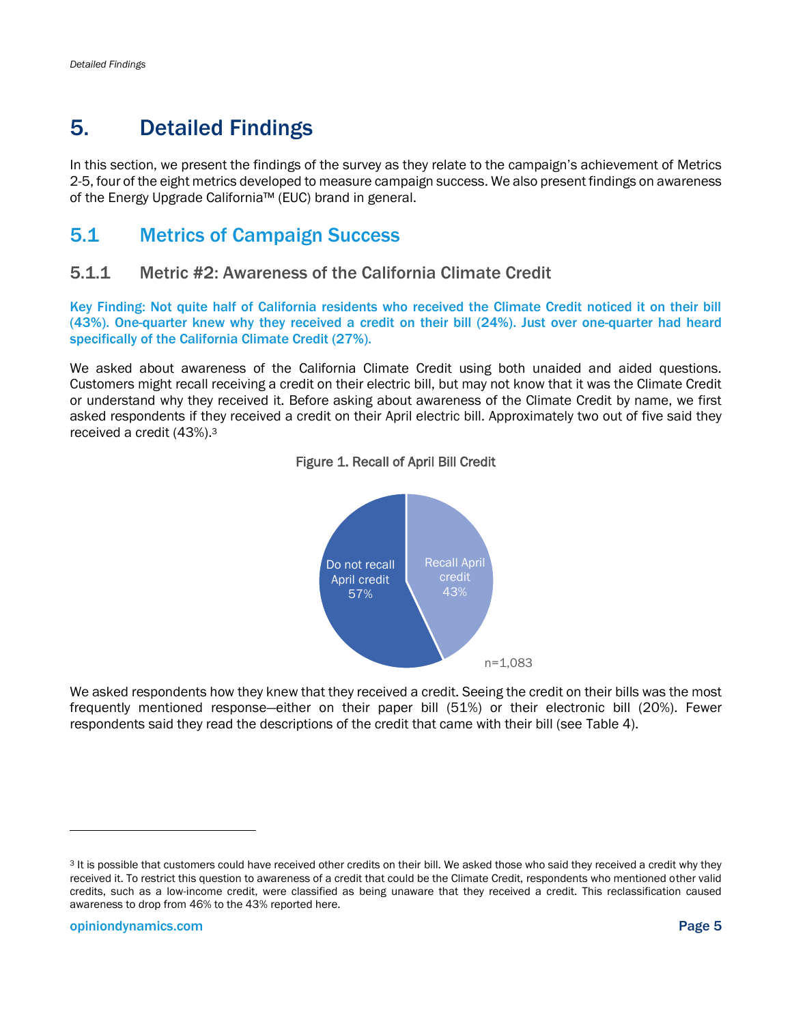## <span id="page-9-0"></span>5. Detailed Findings

In this section, we present the findings of the survey as they relate to the campaign's achievement of Metrics 2-5, four of the eight metrics developed to measure campaign success. We also present findings on awareness of the Energy Upgrade California™ (EUC) brand in general.

### <span id="page-9-1"></span>5.1 Metrics of Campaign Success

### 5.1.1 Metric #2: Awareness of the California Climate Credit

Key Finding: Not quite half of California residents who received the Climate Credit noticed it on their bill (43%). One-quarter knew why they received a credit on their bill (24%). Just over one-quarter had heard specifically of the California Climate Credit (27%).

<span id="page-9-2"></span>We asked about awareness of the California Climate Credit using both unaided and aided questions. Customers might recall receiving a credit on their electric bill, but may not know that it was the Climate Credit or understand why they received it. Before asking about awareness of the Climate Credit by name, we first asked respondents if they received a credit on their April electric bill. Approximately two out of five said they received a credit (43%).<sup>3</sup>



#### Figure 1. Recall of April Bill Credit

We asked respondents how they knew that they received a credit. Seeing the credit on their bills was the most frequently mentioned response—either on their paper bill (51%) or their electronic bill (20%). Fewer respondents said they read the descriptions of the credit that came with their bill (see [Table 4\)](#page-10-0).

 $\overline{\phantom{a}}$ 

<sup>&</sup>lt;sup>3</sup> It is possible that customers could have received other credits on their bill. We asked those who said they received a credit why they received it. To restrict this question to awareness of a credit that could be the Climate Credit, respondents who mentioned other valid credits, such as a low-income credit, were classified as being unaware that they received a credit. This reclassification caused awareness to drop from 46% to the 43% reported here.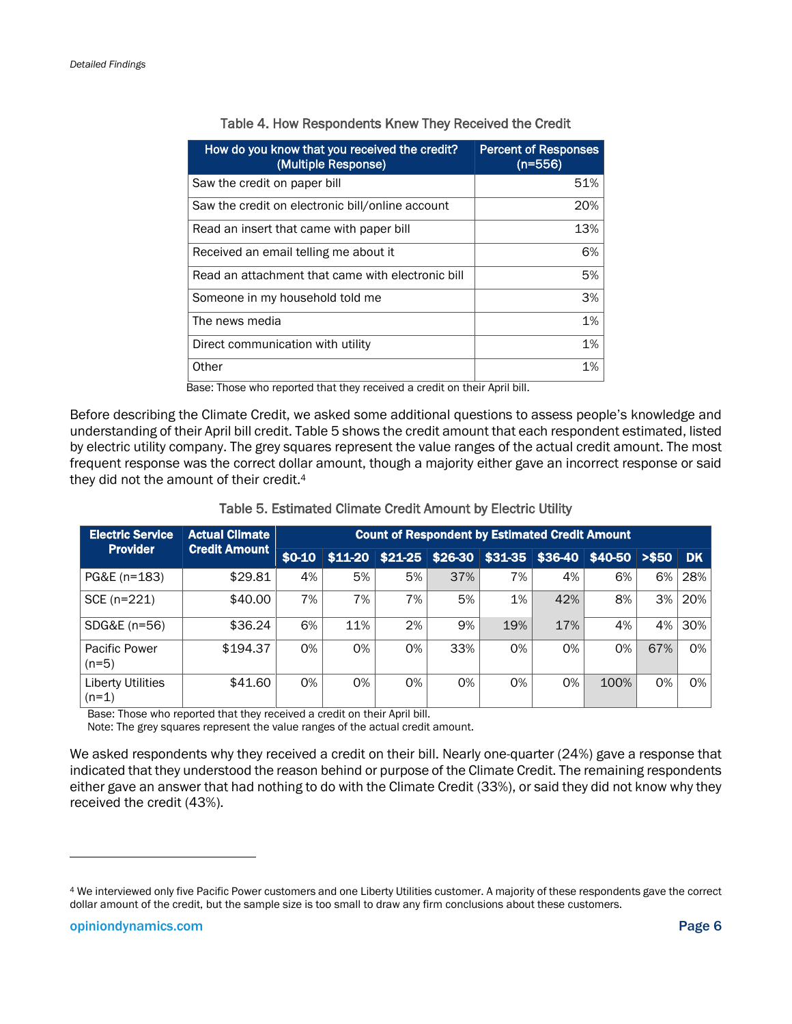<span id="page-10-0"></span>

| How do you know that you received the credit?<br>(Multiple Response) | <b>Percent of Responses</b><br>$(n=556)$ |
|----------------------------------------------------------------------|------------------------------------------|
| Saw the credit on paper bill                                         | 51%                                      |
| Saw the credit on electronic bill/online account                     | 20%                                      |
| Read an insert that came with paper bill                             | 13%                                      |
| Received an email telling me about it                                | 6%                                       |
| Read an attachment that came with electronic bill                    | 5%                                       |
| Someone in my household told me                                      | 3%                                       |
| The news media                                                       | 1%                                       |
| Direct communication with utility                                    | 1%                                       |
| Other                                                                | 1%                                       |

#### Table 4. How Respondents Knew They Received the Credit

Base: Those who reported that they received a credit on their April bill.

Before describing the Climate Credit, we asked some additional questions to assess people's knowledge and understanding of their April bill credit. [Table 5](#page-10-1) shows the credit amount that each respondent estimated, listed by electric utility company. The grey squares represent the value ranges of the actual credit amount. The most frequent response was the correct dollar amount, though a majority either gave an incorrect response or said they did not the amount of their credit.<sup>4</sup>

| Table 5. Estimated Climate Credit Amount by Electric Utility |  |  |
|--------------------------------------------------------------|--|--|
|--------------------------------------------------------------|--|--|

<span id="page-10-1"></span>

| <b>Electric Service</b>             | <b>Actual Climate</b><br><b>Credit Amount</b> | <b>Count of Respondent by Estimated Credit Amount</b> |     |    |     |     |                                                                  |      |     |     |
|-------------------------------------|-----------------------------------------------|-------------------------------------------------------|-----|----|-----|-----|------------------------------------------------------------------|------|-----|-----|
| <b>Provider</b>                     |                                               | $$0-10$                                               |     |    |     |     | $$11-20$ $$21-25$ $$26-30$ $$31-35$ $$36-40$ $$40-50$ $> $50$ DK |      |     |     |
| PG&E (n=183)                        | \$29.81                                       | 4%                                                    | 5%  | 5% | 37% | 7%  | 4%                                                               | 6%   | 6%  | 28% |
| SCE (n=221)                         | \$40.00                                       | 7%                                                    | 7%  | 7% | 5%  | 1%  | 42%                                                              | 8%   | 3%  | 20% |
| SDG&E (n=56)                        | \$36.24                                       | 6%                                                    | 11% | 2% | 9%  | 19% | 17%                                                              | 4%   | 4%  | 30% |
| Pacific Power<br>$(n=5)$            | \$194.37                                      | 0%                                                    | 0%  | 0% | 33% | 0%  | 0%                                                               | 0%   | 67% | 0%  |
| <b>Liberty Utilities</b><br>$(n=1)$ | \$41.60                                       | 0%                                                    | 0%  | 0% | 0%  | 0%  | 0%                                                               | 100% | 0%  | 0%  |

Base: Those who reported that they received a credit on their April bill.

Note: The grey squares represent the value ranges of the actual credit amount.

We asked respondents why they received a credit on their bill. Nearly one-quarter (24%) gave a response that indicated that they understood the reason behind or purpose of the Climate Credit. The remaining respondents either gave an answer that had nothing to do with the Climate Credit (33%), or said they did not know why they received the credit (43%).

<sup>4</sup> We interviewed only five Pacific Power customers and one Liberty Utilities customer. A majority of these respondents gave the correct dollar amount of the credit, but the sample size is too small to draw any firm conclusions about these customers.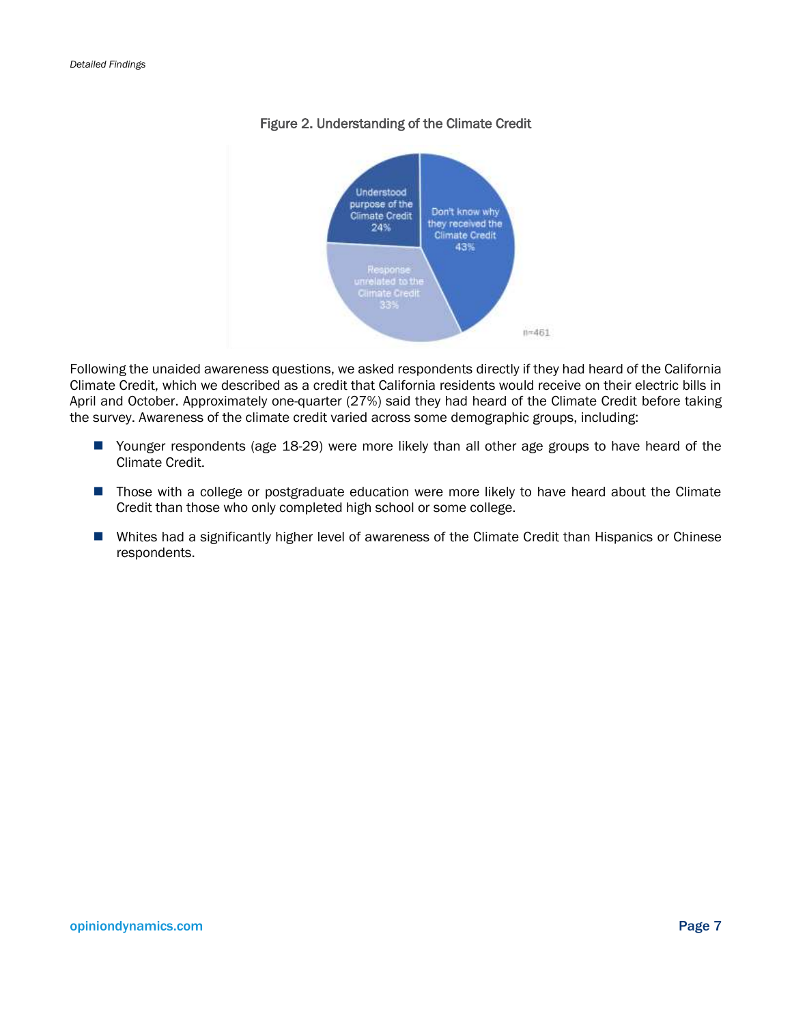<span id="page-11-0"></span>

#### Figure 2. Understanding of the Climate Credit

Following the unaided awareness questions, we asked respondents directly if they had heard of the California Climate Credit, which we described as a credit that California residents would receive on their electric bills in April and October. Approximately one-quarter (27%) said they had heard of the Climate Credit before taking the survey. Awareness of the climate credit varied across some demographic groups, including:

- Younger respondents (age 18-29) were more likely than all other age groups to have heard of the Climate Credit.
- **Those with a college or postgraduate education were more likely to have heard about the Climate** Credit than those who only completed high school or some college.
- Whites had a significantly higher level of awareness of the Climate Credit than Hispanics or Chinese respondents.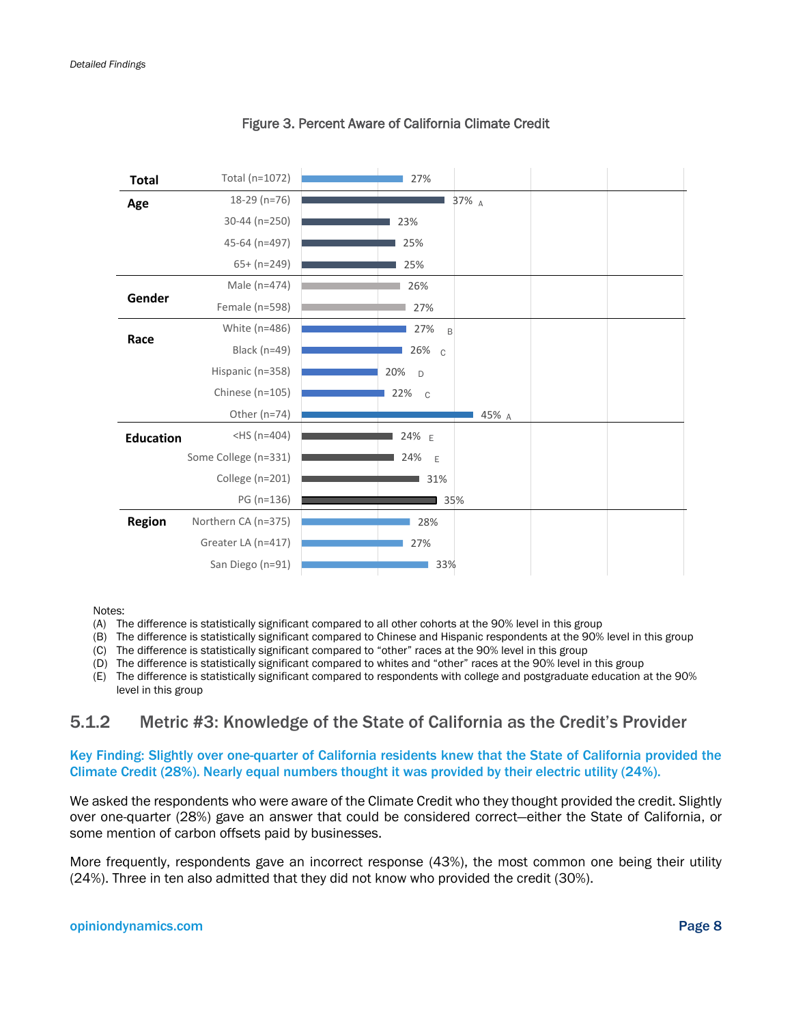<span id="page-12-0"></span>

| <b>Total</b>     | Total (n=1072)       | 27%                 |
|------------------|----------------------|---------------------|
| Age              | $18-29$ (n=76)       | 37% A               |
|                  | 30-44 (n=250)        | 23%                 |
|                  | 45-64 (n=497)        | 25%                 |
|                  | $65+ (n=249)$        | 25%                 |
|                  | Male (n=474)         | 26%                 |
| Gender           | Female (n=598)       | 27%                 |
|                  | White (n=486)        | 27%<br>B            |
| Race             | Black (n=49)         | 26% с               |
|                  | Hispanic (n=358)     | 20%<br>D            |
|                  | Chinese (n=105)      | 22%<br>$\mathbb{C}$ |
|                  | Other (n=74)         | 45% A               |
| <b>Education</b> | $-HS(n=404)$         | 24% E               |
|                  | Some College (n=331) | 24%<br>E            |
|                  | College (n=201)      | 31%                 |
|                  | PG (n=136)           | 35%                 |
| Region           | Northern CA (n=375)  | 28%                 |
|                  | Greater LA (n=417)   | 27%                 |
|                  | San Diego (n=91)     | 33%                 |

#### Figure 3. Percent Aware of California Climate Credit

#### Notes:

- (A) The difference is statistically significant compared to all other cohorts at the 90% level in this group
- (B) The difference is statistically significant compared to Chinese and Hispanic respondents at the 90% level in this group
- (C) The difference is statistically significant compared to "other" races at the 90% level in this group
- (D) The difference is statistically significant compared to whites and "other" races at the 90% level in this group
- (E) The difference is statistically significant compared to respondents with college and postgraduate education at the 90% level in this group

### 5.1.2 Metric #3: Knowledge of the State of California as the Credit's Provider

Key Finding: Slightly over one-quarter of California residents knew that the State of California provided the Climate Credit (28%). Nearly equal numbers thought it was provided by their electric utility (24%).

We asked the respondents who were aware of the Climate Credit who they thought provided the credit. Slightly over one-quarter (28%) gave an answer that could be considered correct—either the State of California, or some mention of carbon offsets paid by businesses.

More frequently, respondents gave an incorrect response (43%), the most common one being their utility (24%). Three in ten also admitted that they did not know who provided the credit (30%).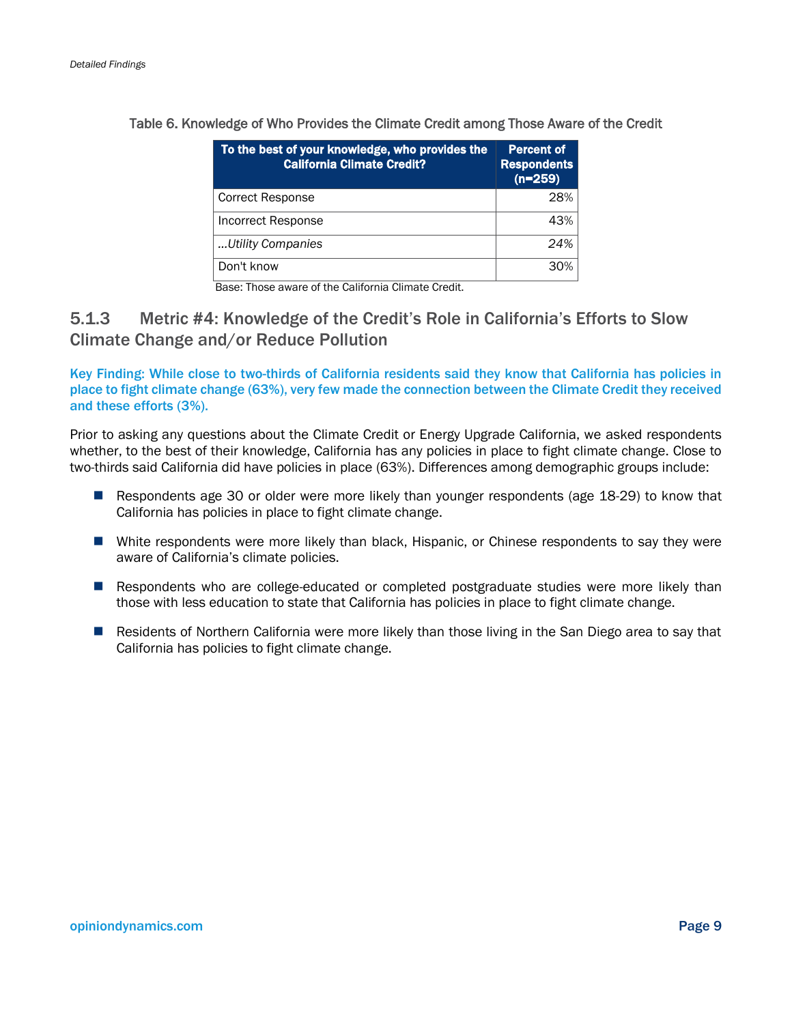| To the best of your knowledge, who provides the<br>California Climate Credit? | <b>Percent of</b><br><b>Respondents</b><br>$(n=259)$ |
|-------------------------------------------------------------------------------|------------------------------------------------------|
| <b>Correct Response</b>                                                       | 28%                                                  |
| Incorrect Response                                                            | 43%                                                  |
| Utility Companies                                                             | 24%                                                  |
| Don't know                                                                    | 30%                                                  |

<span id="page-13-0"></span>Table 6. Knowledge of Who Provides the Climate Credit among Those Aware of the Credit

Base: Those aware of the California Climate Credit.

### 5.1.3 Metric #4: Knowledge of the Credit's Role in California's Efforts to Slow Climate Change and/or Reduce Pollution

Key Finding: While close to two-thirds of California residents said they know that California has policies in place to fight climate change (63%), very few made the connection between the Climate Credit they received and these efforts (3%).

Prior to asking any questions about the Climate Credit or Energy Upgrade California, we asked respondents whether, to the best of their knowledge, California has any policies in place to fight climate change. Close to two-thirds said California did have policies in place (63%). Differences among demographic groups include:

- **Respondents age 30 or older were more likely than younger respondents (age 18-29) to know that** California has policies in place to fight climate change.
- White respondents were more likely than black, Hispanic, or Chinese respondents to say they were aware of California's climate policies.
- **Respondents who are college-educated or completed postgraduate studies were more likely than** those with less education to state that California has policies in place to fight climate change.
- **Residents of Northern California were more likely than those living in the San Diego area to say that** California has policies to fight climate change.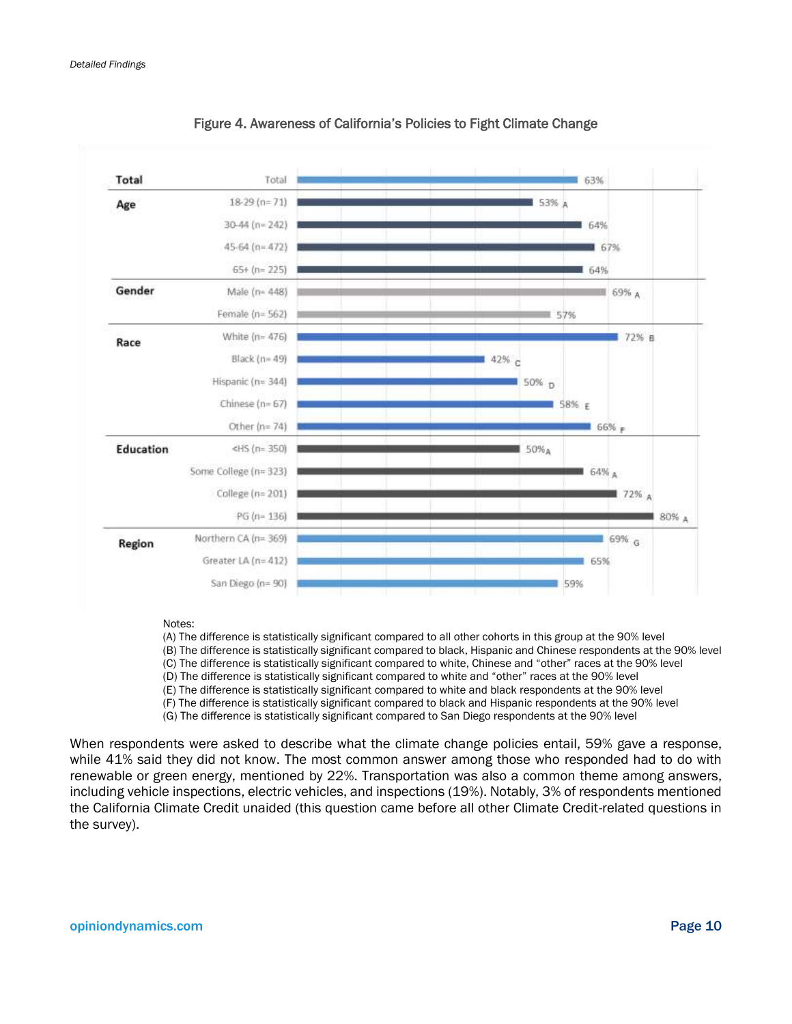<span id="page-14-0"></span>

Figure 4. Awareness of California's Policies to Fight Climate Change

Notes:

(A) The difference is statistically significant compared to all other cohorts in this group at the 90% level

(B) The difference is statistically significant compared to black, Hispanic and Chinese respondents at the 90% level

(C) The difference is statistically significant compared to white, Chinese and "other" races at the 90% level

(D) The difference is statistically significant compared to white and "other" races at the 90% level

(E) The difference is statistically significant compared to white and black respondents at the 90% level

(F) The difference is statistically significant compared to black and Hispanic respondents at the 90% level

(G) The difference is statistically significant compared to San Diego respondents at the 90% level

When respondents were asked to describe what the climate change policies entail, 59% gave a response, while 41% said they did not know. The most common answer among those who responded had to do with renewable or green energy, mentioned by 22%. Transportation was also a common theme among answers, including vehicle inspections, electric vehicles, and inspections (19%). Notably, 3% of respondents mentioned the California Climate Credit unaided (this question came before all other Climate Credit-related questions in the survey).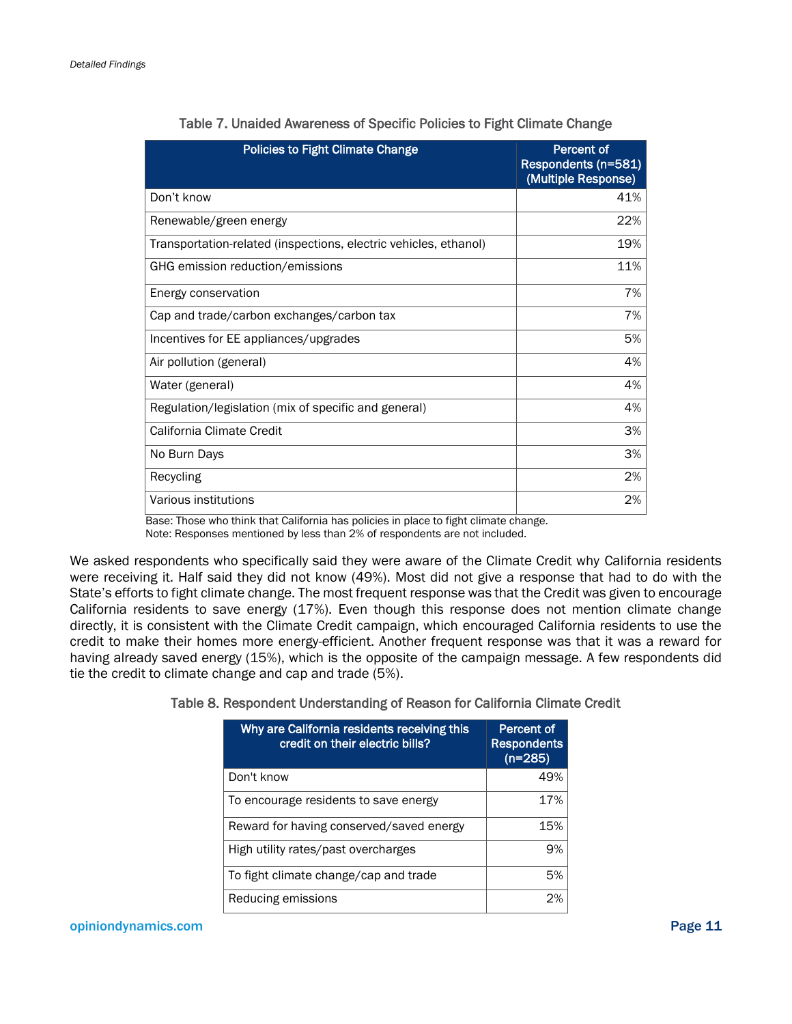<span id="page-15-0"></span>

| <b>Policies to Fight Climate Change</b>                          | <b>Percent of</b><br>Respondents (n=581)<br>(Multiple Response) |
|------------------------------------------------------------------|-----------------------------------------------------------------|
| Don't know                                                       | 41%                                                             |
| Renewable/green energy                                           | 22%                                                             |
| Transportation-related (inspections, electric vehicles, ethanol) | 19%                                                             |
| GHG emission reduction/emissions                                 | 11%                                                             |
| Energy conservation                                              | 7%                                                              |
| Cap and trade/carbon exchanges/carbon tax                        | 7%                                                              |
| Incentives for EE appliances/upgrades                            | 5%                                                              |
| Air pollution (general)                                          | 4%                                                              |
| Water (general)                                                  | 4%                                                              |
| Regulation/legislation (mix of specific and general)             | 4%                                                              |
| California Climate Credit                                        | 3%                                                              |
| No Burn Days                                                     | 3%                                                              |
| Recycling                                                        | 2%                                                              |
| Various institutions                                             | 2%                                                              |

#### Table 7. Unaided Awareness of Specific Policies to Fight Climate Change

Base: Those who think that California has policies in place to fight climate change. Note: Responses mentioned by less than 2% of respondents are not included.

We asked respondents who specifically said they were aware of the Climate Credit why California residents were receiving it. Half said they did not know (49%). Most did not give a response that had to do with the State's efforts to fight climate change. The most frequent response was that the Credit was given to encourage California residents to save energy (17%). Even though this response does not mention climate change directly, it is consistent with the Climate Credit campaign, which encouraged California residents to use the credit to make their homes more energy-efficient. Another frequent response was that it was a reward for having already saved energy (15%), which is the opposite of the campaign message. A few respondents did tie the credit to climate change and cap and trade (5%).

#### <span id="page-15-1"></span>Table 8. Respondent Understanding of Reason for California Climate Credit

| Why are California residents receiving this<br>credit on their electric bills? | <b>Percent of</b><br><b>Respondents</b><br>$(n=285)$ |
|--------------------------------------------------------------------------------|------------------------------------------------------|
| Don't know                                                                     | 49%                                                  |
| To encourage residents to save energy                                          | 17%                                                  |
| Reward for having conserved/saved energy                                       | 15%                                                  |
| High utility rates/past overcharges                                            | 9%                                                   |
| To fight climate change/cap and trade                                          | 5%                                                   |
| Reducing emissions                                                             | 2%                                                   |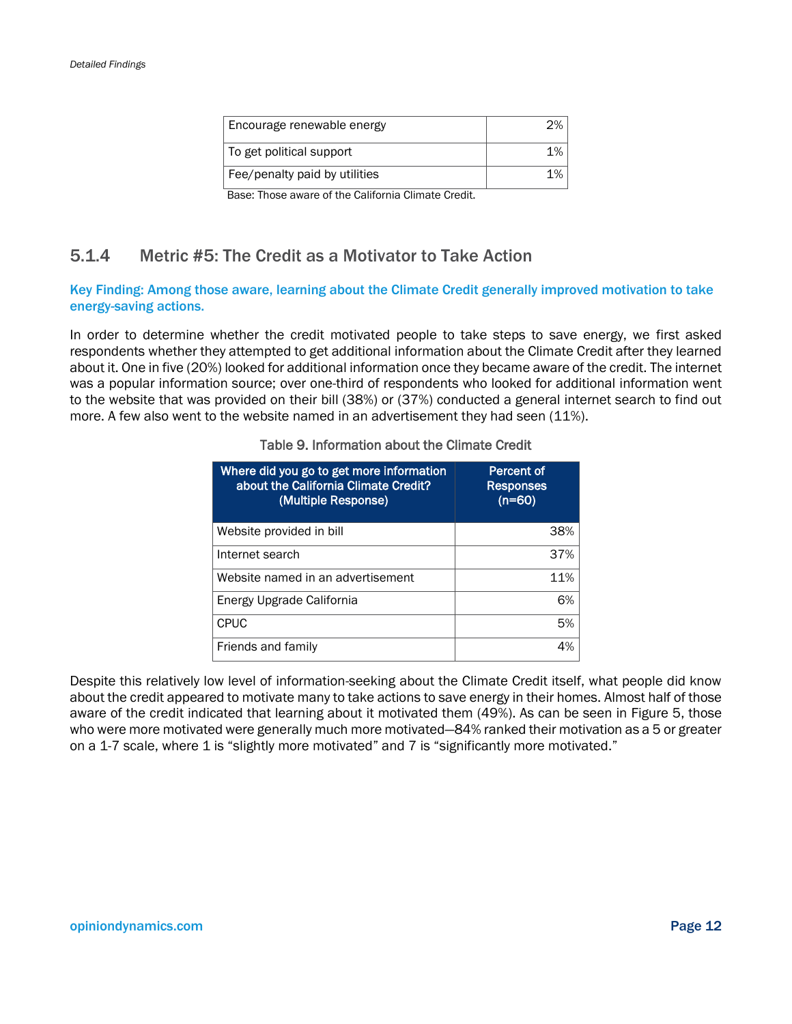| Encourage renewable energy    |       |
|-------------------------------|-------|
| To get political support      | $1\%$ |
| Fee/penalty paid by utilities | $1\%$ |

Base: Those aware of the California Climate Credit.

### 5.1.4 Metric #5: The Credit as a Motivator to Take Action

#### Key Finding: Among those aware, learning about the Climate Credit generally improved motivation to take energy-saving actions.

<span id="page-16-0"></span>In order to determine whether the credit motivated people to take steps to save energy, we first asked respondents whether they attempted to get additional information about the Climate Credit after they learned about it. One in five (20%) looked for additional information once they became aware of the credit. The internet was a popular information source; over one-third of respondents who looked for additional information went to the website that was provided on their bill (38%) or (37%) conducted a general internet search to find out more. A few also went to the website named in an advertisement they had seen (11%).

| Where did you go to get more information<br>about the California Climate Credit?<br>(Multiple Response) | Percent of<br><b>Responses</b><br>$(n=60)$ |
|---------------------------------------------------------------------------------------------------------|--------------------------------------------|
| Website provided in bill                                                                                | 38%                                        |
| Internet search                                                                                         | 37%                                        |
| Website named in an advertisement                                                                       | 11%                                        |
| Energy Upgrade California                                                                               | 6%                                         |
| <b>CPUC</b>                                                                                             | 5%                                         |
| Friends and family                                                                                      | 4%                                         |

#### Table 9. Information about the Climate Credit

Despite this relatively low level of information-seeking about the Climate Credit itself, what people did know about the credit appeared to motivate many to take actions to save energy in their homes. Almost half of those aware of the credit indicated that learning about it motivated them (49%). As can be seen in [Figure 5,](#page-17-2) those who were more motivated were generally much more motivated—84% ranked their motivation as a 5 or greater on a 1-7 scale, where 1 is "slightly more motivated" and 7 is "significantly more motivated."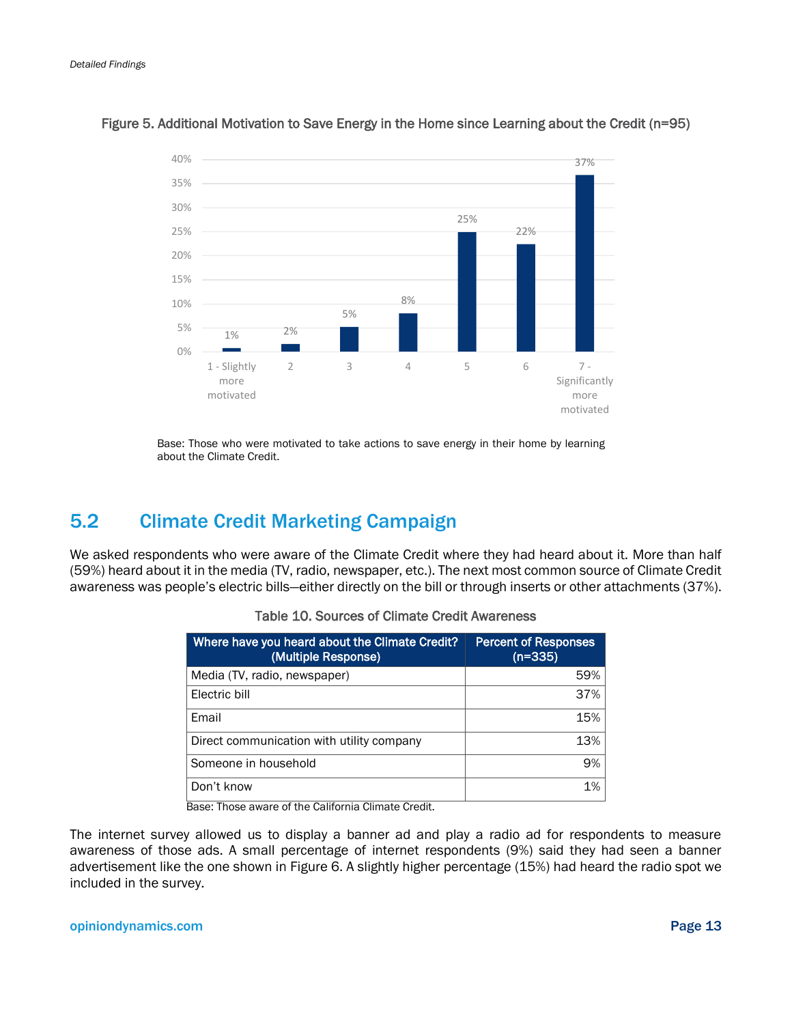

#### <span id="page-17-2"></span>Figure 5. Additional Motivation to Save Energy in the Home since Learning about the Credit (n=95)

Base: Those who were motivated to take actions to save energy in their home by learning about the Climate Credit.

## <span id="page-17-0"></span>5.2 Climate Credit Marketing Campaign

<span id="page-17-1"></span>We asked respondents who were aware of the Climate Credit where they had heard about it. More than half (59%) heard about it in the media (TV, radio, newspaper, etc.). The next most common source of Climate Credit awareness was people's electric bills—either directly on the bill or through inserts or other attachments (37%).

| Where have you heard about the Climate Credit?<br>(Multiple Response) | <b>Percent of Responses</b><br>$(n=335)$ |
|-----------------------------------------------------------------------|------------------------------------------|
| Media (TV, radio, newspaper)                                          | 59%                                      |
| Electric bill                                                         | 37%                                      |
| Email                                                                 | 15%                                      |
| Direct communication with utility company                             | 13%                                      |
| Someone in household                                                  | 9%                                       |
| Don't know                                                            | 1%                                       |

|  |  |  |  |  |  |  | Table 10. Sources of Climate Credit Awareness |
|--|--|--|--|--|--|--|-----------------------------------------------|
|--|--|--|--|--|--|--|-----------------------------------------------|

Base: Those aware of the California Climate Credit.

The internet survey allowed us to display a banner ad and play a radio ad for respondents to measure awareness of those ads. A small percentage of internet respondents (9%) said they had seen a banner advertisement like the one shown in [Figure 6.](#page-18-2) A slightly higher percentage (15%) had heard the radio spot we included in the survey.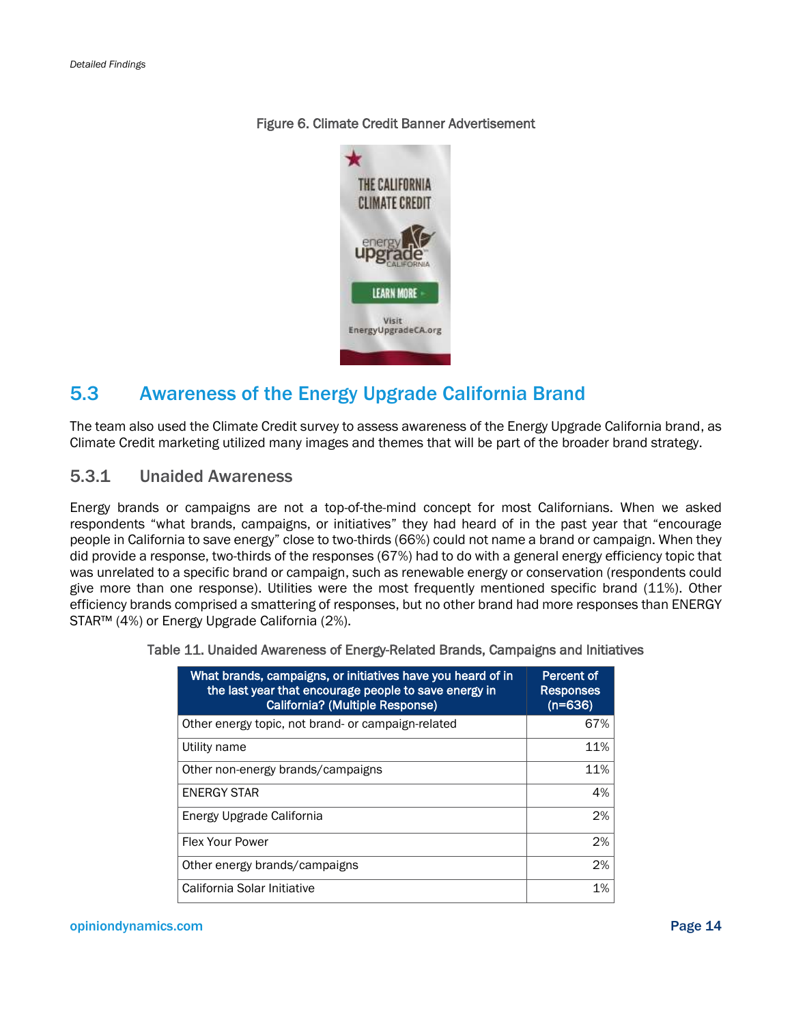#### <span id="page-18-2"></span>Figure 6. Climate Credit Banner Advertisement



## <span id="page-18-0"></span>5.3 Awareness of the Energy Upgrade California Brand

The team also used the Climate Credit survey to assess awareness of the Energy Upgrade California brand, as Climate Credit marketing utilized many images and themes that will be part of the broader brand strategy.

#### 5.3.1 Unaided Awareness

Energy brands or campaigns are not a top-of-the-mind concept for most Californians. When we asked respondents "what brands, campaigns, or initiatives" they had heard of in the past year that "encourage people in California to save energy" close to two-thirds (66%) could not name a brand or campaign. When they did provide a response, two-thirds of the responses (67%) had to do with a general energy efficiency topic that was unrelated to a specific brand or campaign, such as renewable energy or conservation (respondents could give more than one response). Utilities were the most frequently mentioned specific brand (11%). Other efficiency brands comprised a smattering of responses, but no other brand had more responses than ENERGY STAR™ (4%) or Energy Upgrade California (2%).

| What brands, campaigns, or initiatives have you heard of in<br>the last year that encourage people to save energy in<br>California? (Multiple Response) | Percent of<br><b>Responses</b><br>$(n=636)$ |
|---------------------------------------------------------------------------------------------------------------------------------------------------------|---------------------------------------------|
| Other energy topic, not brand- or campaign-related                                                                                                      | 67%                                         |
| Utility name                                                                                                                                            | 11%                                         |
| Other non-energy brands/campaigns                                                                                                                       | 11%                                         |
| <b>ENERGY STAR</b>                                                                                                                                      | 4%                                          |
| Energy Upgrade California                                                                                                                               | 2%                                          |
| <b>Flex Your Power</b>                                                                                                                                  | 2%                                          |
| Other energy brands/campaigns                                                                                                                           | 2%                                          |
| California Solar Initiative                                                                                                                             | 1%                                          |

<span id="page-18-1"></span>Table 11. Unaided Awareness of Energy-Related Brands, Campaigns and Initiatives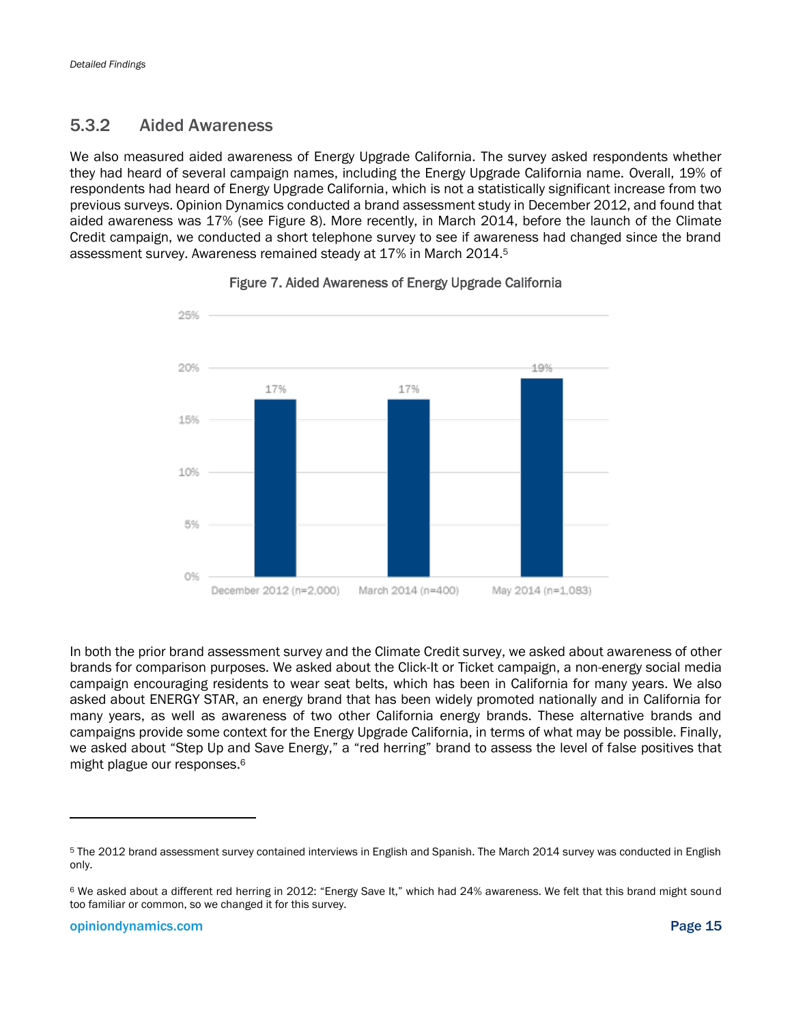### 5.3.2 Aided Awareness

We also measured aided awareness of Energy Upgrade California. The survey asked respondents whether they had heard of several campaign names, including the Energy Upgrade California name. Overall, 19% of respondents had heard of Energy Upgrade California, which is not a statistically significant increase from two previous surveys. Opinion Dynamics conducted a brand assessment study in December 2012, and found that aided awareness was 17% (see [Figure 8\)](#page-20-0). More recently, in March 2014, before the launch of the Climate Credit campaign, we conducted a short telephone survey to see if awareness had changed since the brand assessment survey. Awareness remained steady at 17% in March 2014.<sup>5</sup>

<span id="page-19-0"></span>

#### Figure 7. Aided Awareness of Energy Upgrade California

In both the prior brand assessment survey and the Climate Credit survey, we asked about awareness of other brands for comparison purposes. We asked about the Click-It or Ticket campaign, a non-energy social media campaign encouraging residents to wear seat belts, which has been in California for many years. We also asked about ENERGY STAR, an energy brand that has been widely promoted nationally and in California for many years, as well as awareness of two other California energy brands. These alternative brands and campaigns provide some context for the Energy Upgrade California, in terms of what may be possible. Finally, we asked about "Step Up and Save Energy," a "red herring" brand to assess the level of false positives that might plague our responses.<sup>6</sup>

<sup>5</sup> The 2012 brand assessment survey contained interviews in English and Spanish. The March 2014 survey was conducted in English only.

<sup>6</sup> We asked about a different red herring in 2012: "Energy Save It," which had 24% awareness. We felt that this brand might sound too familiar or common, so we changed it for this survey.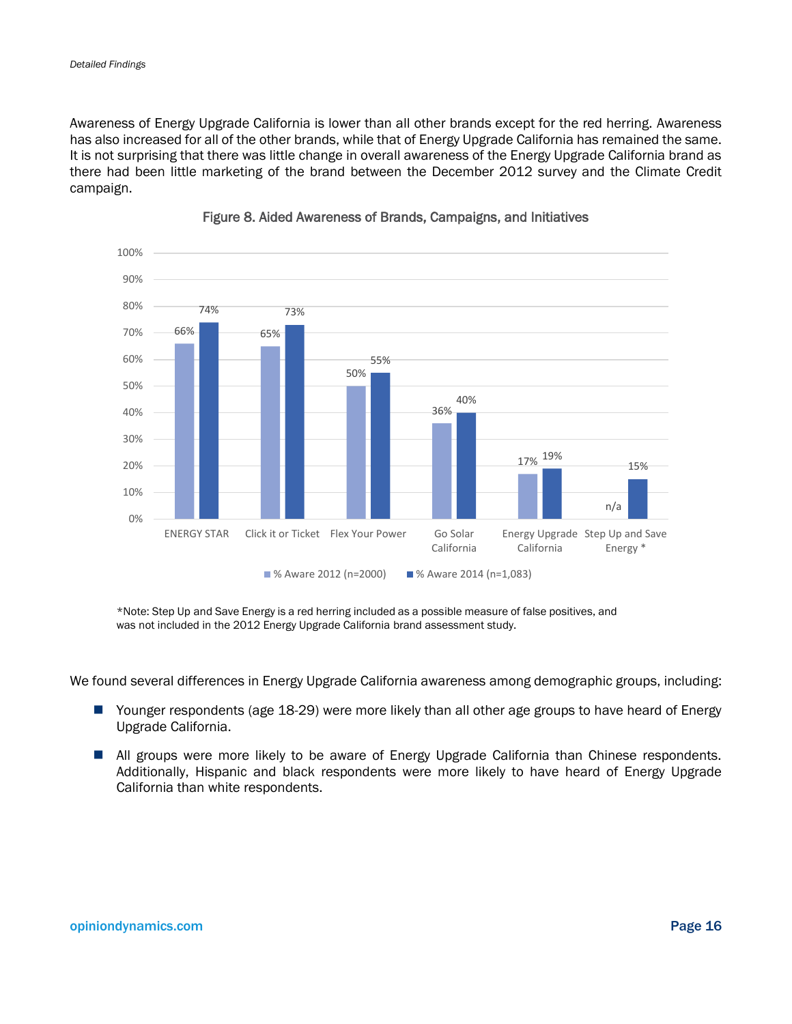Awareness of Energy Upgrade California is lower than all other brands except for the red herring. Awareness has also increased for all of the other brands, while that of Energy Upgrade California has remained the same. It is not surprising that there was little change in overall awareness of the Energy Upgrade California brand as there had been little marketing of the brand between the December 2012 survey and the Climate Credit campaign.

<span id="page-20-0"></span>

#### Figure 8. Aided Awareness of Brands, Campaigns, and Initiatives

\*Note: Step Up and Save Energy is a red herring included as a possible measure of false positives, and was not included in the 2012 Energy Upgrade California brand assessment study.

We found several differences in Energy Upgrade California awareness among demographic groups, including:

- Younger respondents (age 18-29) were more likely than all other age groups to have heard of Energy Upgrade California.
- **All groups were more likely to be aware of Energy Upgrade California than Chinese respondents.** Additionally, Hispanic and black respondents were more likely to have heard of Energy Upgrade California than white respondents.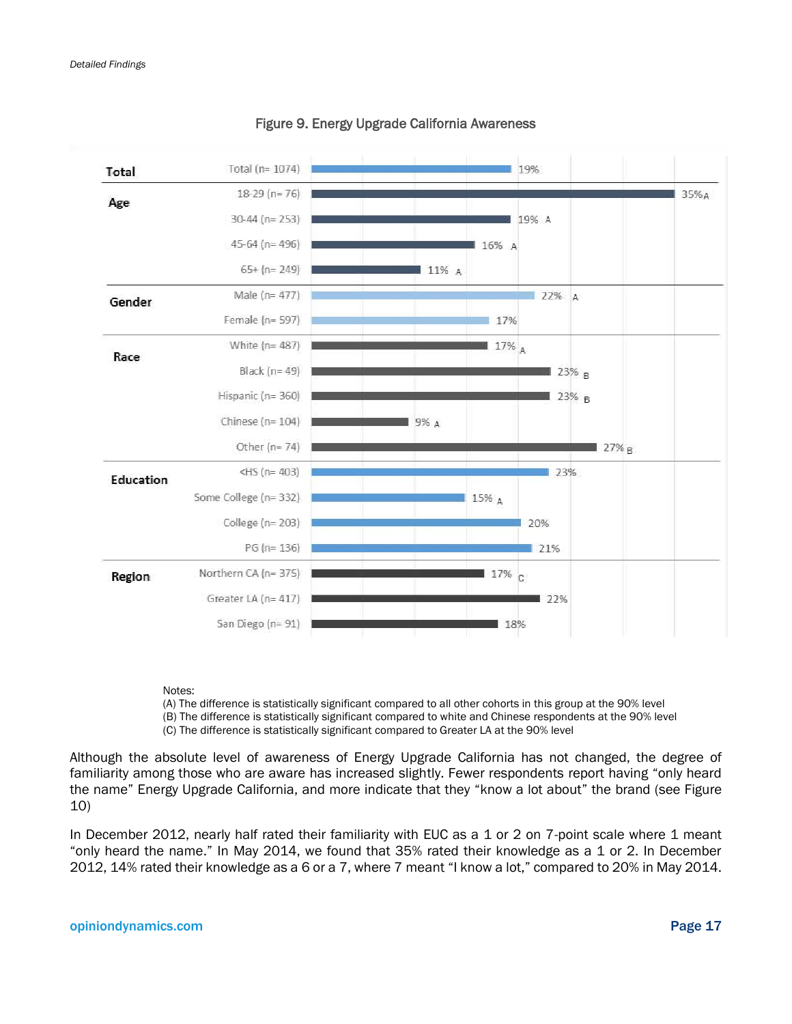<span id="page-21-0"></span>

#### Figure 9. Energy Upgrade California Awareness

#### Notes:

(A) The difference is statistically significant compared to all other cohorts in this group at the 90% level (B) The difference is statistically significant compared to white and Chinese respondents at the 90% level (C) The difference is statistically significant compared to Greater LA at the 90% level

Although the absolute level of awareness of Energy Upgrade California has not changed, the degree of familiarity among those who are aware has increased slightly. Fewer respondents report having "only heard the name" Energy Upgrade California, and more indicate that they "know a lot about" the brand (see [Figure](#page-22-1)  [10\)](#page-22-1)

In December 2012, nearly half rated their familiarity with EUC as a 1 or 2 on 7-point scale where 1 meant "only heard the name." In May 2014, we found that 35% rated their knowledge as a 1 or 2. In December 2012, 14% rated their knowledge as a 6 or a 7, where 7 meant "I know a lot," compared to 20% in May 2014.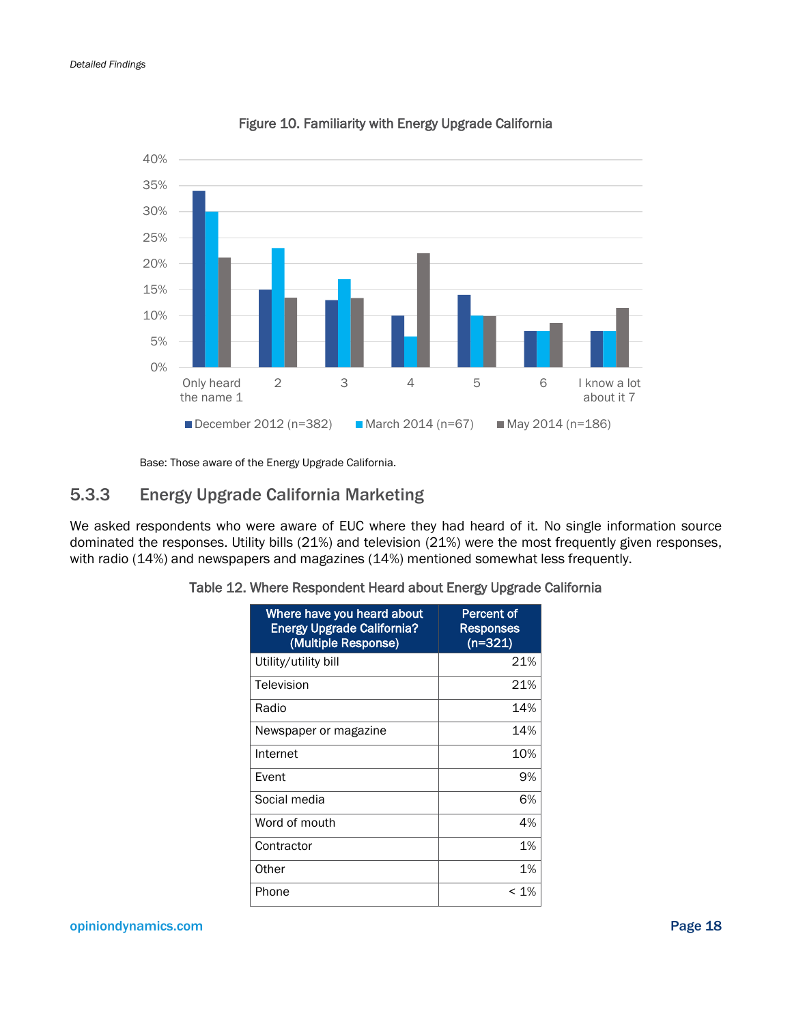<span id="page-22-1"></span>

Figure 10. Familiarity with Energy Upgrade California

Base: Those aware of the Energy Upgrade California.

### 5.3.3 Energy Upgrade California Marketing

<span id="page-22-0"></span>We asked respondents who were aware of EUC where they had heard of it. No single information source dominated the responses. Utility bills (21%) and television (21%) were the most frequently given responses, with radio (14%) and newspapers and magazines (14%) mentioned somewhat less frequently.

| Where have you heard about<br><b>Energy Upgrade California?</b><br>(Multiple Response) | Percent of<br><b>Responses</b><br>$(n=321)$ |
|----------------------------------------------------------------------------------------|---------------------------------------------|
| Utility/utility bill                                                                   | 21%                                         |
| Television                                                                             | 21%                                         |
| Radio                                                                                  | 14%                                         |
| Newspaper or magazine                                                                  | 14%                                         |
| Internet                                                                               | 10%                                         |
| Event                                                                                  | 9%                                          |
| Social media                                                                           | 6%                                          |
| Word of mouth                                                                          | 4%                                          |
| Contractor                                                                             | 1%                                          |
| Other                                                                                  | 1%                                          |
| Phone                                                                                  | $< 1\%$                                     |

|  |  |  |  | Table 12. Where Respondent Heard about Energy Upgrade California |
|--|--|--|--|------------------------------------------------------------------|
|  |  |  |  |                                                                  |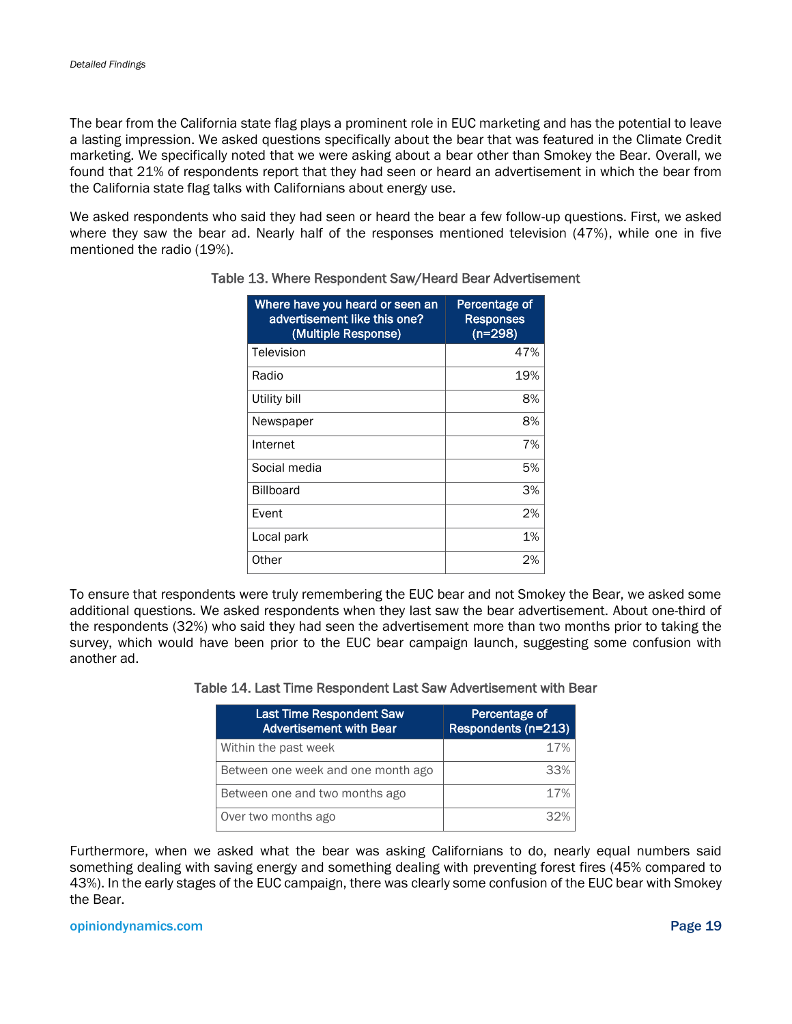The bear from the California state flag plays a prominent role in EUC marketing and has the potential to leave a lasting impression. We asked questions specifically about the bear that was featured in the Climate Credit marketing. We specifically noted that we were asking about a bear other than Smokey the Bear. Overall, we found that 21% of respondents report that they had seen or heard an advertisement in which the bear from the California state flag talks with Californians about energy use.

<span id="page-23-0"></span>We asked respondents who said they had seen or heard the bear a few follow-up questions. First, we asked where they saw the bear ad. Nearly half of the responses mentioned television (47%), while one in five mentioned the radio (19%).

| Where have you heard or seen an<br>advertisement like this one?<br>(Multiple Response) | Percentage of<br>Responses<br>$(n=298)$ |
|----------------------------------------------------------------------------------------|-----------------------------------------|
| Television                                                                             | 47%                                     |
| Radio                                                                                  | 19%                                     |
| Utility bill                                                                           | 8%                                      |
| Newspaper                                                                              | 8%                                      |
| Internet                                                                               | 7%                                      |
| Social media                                                                           | 5%                                      |
| <b>Billboard</b>                                                                       | 3%                                      |
| Event                                                                                  | 2%                                      |
| Local park                                                                             | 1%                                      |
| Other                                                                                  | 2%                                      |

#### Table 13. Where Respondent Saw/Heard Bear Advertisement

<span id="page-23-1"></span>To ensure that respondents were truly remembering the EUC bear and not Smokey the Bear, we asked some additional questions. We asked respondents when they last saw the bear advertisement. About one-third of the respondents (32%) who said they had seen the advertisement more than two months prior to taking the survey, which would have been prior to the EUC bear campaign launch, suggesting some confusion with another ad.

| Table 14. Last Time Respondent Last Saw Advertisement with Bear |
|-----------------------------------------------------------------|
|-----------------------------------------------------------------|

| <b>Last Time Respondent Saw</b><br><b>Advertisement with Bear</b> | Percentage of<br>Respondents (n=213) |
|-------------------------------------------------------------------|--------------------------------------|
| Within the past week                                              | 17%                                  |
| Between one week and one month ago                                | 33%                                  |
| Between one and two months ago                                    | 17%                                  |
| Over two months ago                                               | スウツ                                  |

Furthermore, when we asked what the bear was asking Californians to do, nearly equal numbers said something dealing with saving energy and something dealing with preventing forest fires (45% compared to 43%). In the early stages of the EUC campaign, there was clearly some confusion of the EUC bear with Smokey the Bear.

#### opiniondynamics.com Page 19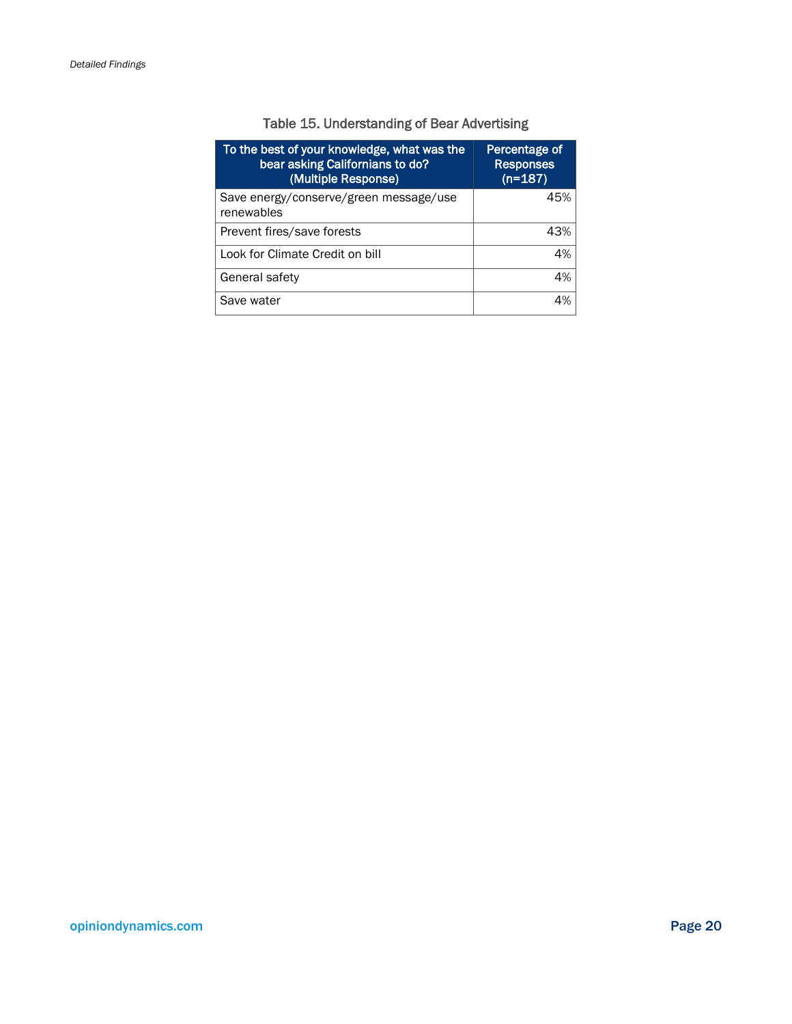### Table 15. Understanding of Bear Advertising

<span id="page-24-0"></span>

| To the best of your knowledge, what was the<br>bear asking Californians to do?<br>(Multiple Response) | Percentage of<br><b>Responses</b><br>$(n=187)$ |
|-------------------------------------------------------------------------------------------------------|------------------------------------------------|
| Save energy/conserve/green message/use<br>renewables                                                  | 45%                                            |
| Prevent fires/save forests                                                                            | 43%                                            |
| Look for Climate Credit on bill                                                                       | 4%                                             |
| General safety                                                                                        | 4%                                             |
| Save water                                                                                            | 4%                                             |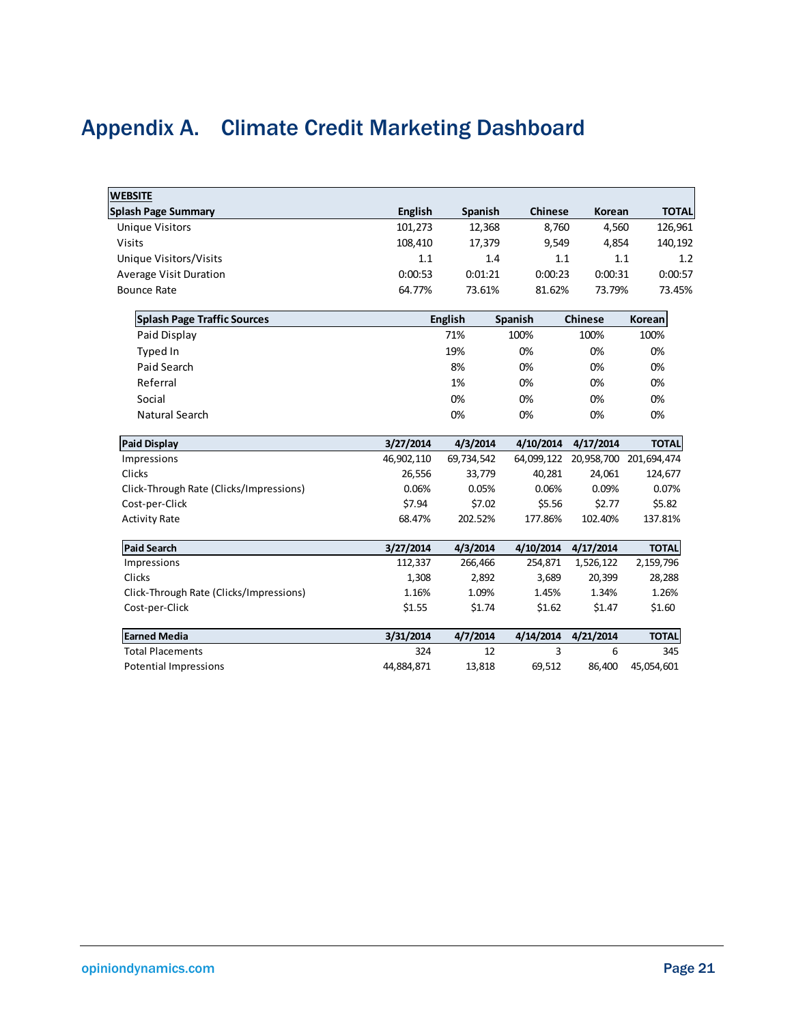## <span id="page-25-0"></span>Appendix A. Climate Credit Marketing Dashboard

| <b>WEBSITE</b>                          |                |                |                |                |                        |
|-----------------------------------------|----------------|----------------|----------------|----------------|------------------------|
| <b>Splash Page Summary</b>              | <b>English</b> | Spanish        | <b>Chinese</b> | Korean         | <b>TOTAL</b>           |
| <b>Unique Visitors</b>                  | 101,273        | 12,368         | 8,760          | 4,560          | 126,961                |
| <b>Visits</b>                           | 108,410        | 17,379         | 9,549          | 4,854          | 140,192                |
| Unique Visitors/Visits                  | 1.1            | 1.4            | 1.1            | 1.1            | 1.2                    |
| <b>Average Visit Duration</b>           | 0:00:53        | 0:01:21        | 0:00:23        | 0:00:31        | 0:00:57                |
| <b>Bounce Rate</b>                      | 64.77%         | 73.61%         | 81.62%         | 73.79%         | 73.45%                 |
| <b>Splash Page Traffic Sources</b>      |                | <b>English</b> | Spanish        | <b>Chinese</b> | Korean                 |
| Paid Display                            |                | 71%            | 100%           | 100%           | 100%                   |
| Typed In                                |                | 19%            | 0%             | 0%             | 0%                     |
| Paid Search                             |                | 8%             | 0%             | 0%             | 0%                     |
| Referral                                |                | 1%             | 0%             | 0%             | 0%                     |
| Social                                  |                | 0%             | 0%             | 0%             | 0%                     |
| <b>Natural Search</b>                   |                | 0%             | 0%             | 0%             | 0%                     |
| <b>Paid Display</b>                     | 3/27/2014      | 4/3/2014       | 4/10/2014      | 4/17/2014      | <b>TOTAL</b>           |
| Impressions                             | 46,902,110     | 69,734,542     | 64,099,122     |                | 20,958,700 201,694,474 |
| Clicks                                  | 26,556         | 33,779         | 40,281         | 24,061         | 124,677                |
| Click-Through Rate (Clicks/Impressions) | 0.06%          | 0.05%          | 0.06%          | 0.09%          | 0.07%                  |
| Cost-per-Click                          | \$7.94         | \$7.02         | \$5.56         | \$2.77         | \$5.82                 |
| <b>Activity Rate</b>                    | 68.47%         | 202.52%        | 177.86%        | 102.40%        | 137.81%                |
| <b>Paid Search</b>                      | 3/27/2014      | 4/3/2014       | 4/10/2014      | 4/17/2014      | <b>TOTAL</b>           |
| Impressions                             | 112,337        | 266,466        | 254,871        | 1,526,122      | 2,159,796              |
| Clicks                                  | 1,308          | 2,892          | 3,689          | 20,399         | 28,288                 |
| Click-Through Rate (Clicks/Impressions) | 1.16%          | 1.09%          | 1.45%          | 1.34%          | 1.26%                  |
| Cost-per-Click                          | \$1.55         | \$1.74         | \$1.62         | \$1.47         | \$1.60                 |
| <b>Earned Media</b>                     | 3/31/2014      | 4/7/2014       | 4/14/2014      | 4/21/2014      | <b>TOTAL</b>           |
| <b>Total Placements</b>                 | 324            | 12             | 3              | 6              | 345                    |
| <b>Potential Impressions</b>            | 44,884,871     | 13,818         | 69,512         | 86,400         | 45,054,601             |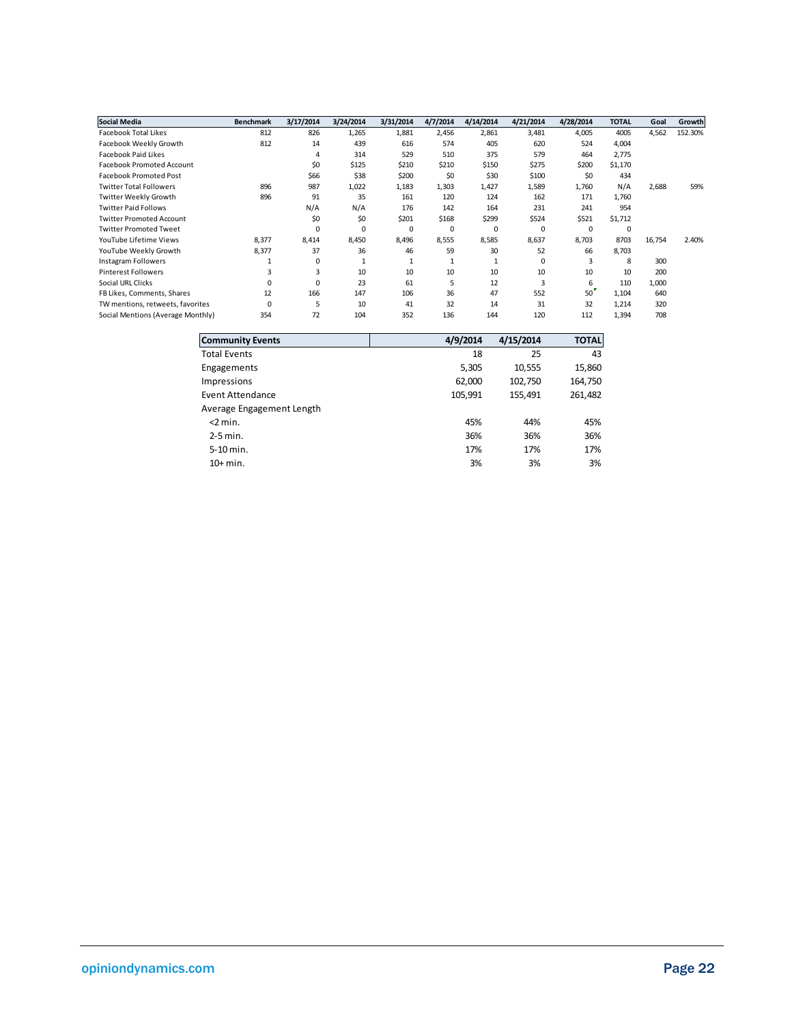| <b>Social Media</b>               | <b>Benchmark</b> | 3/17/2014 | 3/24/2014 | 3/31/2014    | 4/7/2014 | 4/14/2014    | 4/21/2014   | 4/28/2014 | <b>TOTAL</b> | Goal   | Growth  |
|-----------------------------------|------------------|-----------|-----------|--------------|----------|--------------|-------------|-----------|--------------|--------|---------|
| Facebook Total Likes              | 812              | 826       | 1,265     | 1,881        | 2,456    | 2,861        | 3,481       | 4,005     | 4005         | 4,562  | 152.30% |
| Facebook Weekly Growth            | 812              | 14        | 439       | 616          | 574      | 405          | 620         | 524       | 4,004        |        |         |
| Facebook Paid Likes               |                  | 4         | 314       | 529          | 510      | 375          | 579         | 464       | 2,775        |        |         |
| <b>Facebook Promoted Account</b>  |                  | \$0       | \$125     | \$210        | \$210    | \$150        | \$275       | \$200     | \$1,170      |        |         |
| <b>Facebook Promoted Post</b>     |                  | \$66      | \$38      | \$200        | \$0      | \$30         | \$100       | \$0       | 434          |        |         |
| <b>Twitter Total Followers</b>    | 896              | 987       | 1,022     | 1,183        | 1,303    | 1,427        | 1,589       | 1,760     | N/A          | 2,688  | 59%     |
| <b>Twitter Weekly Growth</b>      | 896              | 91        | 35        | 161          | 120      | 124          | 162         | 171       | 1,760        |        |         |
| <b>Twitter Paid Follows</b>       |                  | N/A       | N/A       | 176          | 142      | 164          | 231         | 241       | 954          |        |         |
| <b>Twitter Promoted Account</b>   |                  | \$0       | \$0       | \$201        | \$168    | \$299        | \$524       | \$521     | \$1,712      |        |         |
| <b>Twitter Promoted Tweet</b>     |                  | $\Omega$  | 0         | 0            | 0        | $\mathsf{C}$ | 0           | 0         | 0            |        |         |
| YouTube Lifetime Views            | 8,377            | 8,414     | 8,450     | 8,496        | 8,555    | 8,585        | 8,637       | 8,703     | 8703         | 16,754 | 2.40%   |
| YouTube Weekly Growth             | 8,377            | 37        | 36        | 46           | 59       | 30           | 52          | 66        | 8,703        |        |         |
| <b>Instagram Followers</b>        |                  | $\Omega$  |           | $\mathbf{1}$ |          |              | $\mathbf 0$ | 3         | 8            | 300    |         |
| <b>Pinterest Followers</b>        | 3                | 3         | 10        | 10           | 10       | 10           | 10          | 10        | 10           | 200    |         |
| Social URL Clicks                 | $\Omega$         | $\Omega$  | 23        | 61           | 5        | 12           | 3           | 6         | 110          | 1,000  |         |
| FB Likes, Comments, Shares        | 12               | 166       | 147       | 106          | 36       | 47           | 552         | 50        | 1,104        | 640    |         |
| TW mentions, retweets, favorites  | $\mathsf{C}$     | 5         | 10        | 41           | 32       | 14           | 31          | 32        | 1,214        | 320    |         |
| Social Mentions (Average Monthly) | 354              | 72        | 104       | 352          | 136      | 144          | 120         | 112       | 1,394        | 708    |         |

| <b>Community Events</b>   | 4/9/2014 | 4/15/2014 | <b>TOTAL</b> |
|---------------------------|----------|-----------|--------------|
| Total Events              | 18       | 25        | 43           |
| Engagements               | 5,305    | 10,555    | 15,860       |
| <b>Impressions</b>        | 62,000   | 102,750   | 164,750      |
| <b>Event Attendance</b>   | 105,991  | 155,491   | 261,482      |
| Average Engagement Length |          |           |              |
| $<$ 2 min.                | 45%      | 44%       | 45%          |
| $2-5$ min.                | 36%      | 36%       | 36%          |
| 5-10 min.                 | 17%      | 17%       | 17%          |
| $10+$ min.                | 3%       | 3%        | 3%           |
|                           |          |           |              |